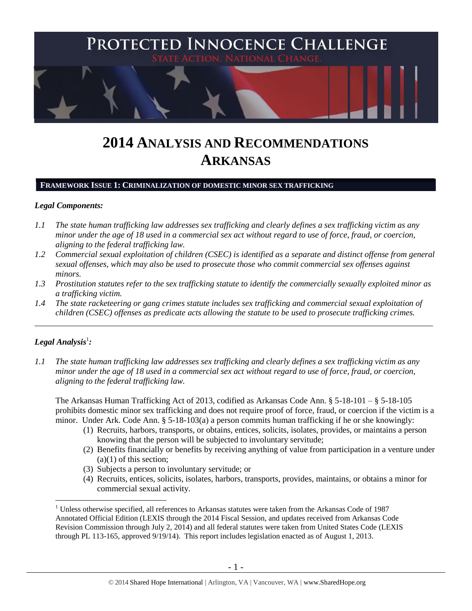

# **2014 ANALYSIS AND RECOMMENDATIONS ARKANSAS**

# **FRAMEWORK ISSUE 1: CRIMINALIZATION OF DOMESTIC MINOR SEX TRAFFICKING**

# *Legal Components:*

- *1.1 The state human trafficking law addresses sex trafficking and clearly defines a sex trafficking victim as any minor under the age of 18 used in a commercial sex act without regard to use of force, fraud, or coercion, aligning to the federal trafficking law.*
- *1.2 Commercial sexual exploitation of children (CSEC) is identified as a separate and distinct offense from general sexual offenses, which may also be used to prosecute those who commit commercial sex offenses against minors.*
- *1.3 Prostitution statutes refer to the sex trafficking statute to identify the commercially sexually exploited minor as a trafficking victim.*
- *1.4 The state racketeering or gang crimes statute includes sex trafficking and commercial sexual exploitation of children (CSEC) offenses as predicate acts allowing the statute to be used to prosecute trafficking crimes.*

\_\_\_\_\_\_\_\_\_\_\_\_\_\_\_\_\_\_\_\_\_\_\_\_\_\_\_\_\_\_\_\_\_\_\_\_\_\_\_\_\_\_\_\_\_\_\_\_\_\_\_\_\_\_\_\_\_\_\_\_\_\_\_\_\_\_\_\_\_\_\_\_\_\_\_\_\_\_\_\_\_\_\_\_\_\_\_\_\_\_\_\_\_\_

# $\bm{L}$ egal Analysis $^1$ :

 $\overline{a}$ 

*1.1 The state human trafficking law addresses sex trafficking and clearly defines a sex trafficking victim as any minor under the age of 18 used in a commercial sex act without regard to use of force, fraud, or coercion, aligning to the federal trafficking law.*

The Arkansas Human Trafficking Act of 2013, codified as Arkansas Code Ann. § 5-18-101 – § 5-18-105 prohibits domestic minor sex trafficking and does not require proof of force, fraud, or coercion if the victim is a minor. Under Ark. Code Ann. § 5-18-103(a) a person commits human trafficking if he or she knowingly:

- (1) Recruits, harbors, transports, or obtains, entices, solicits, isolates, provides, or maintains a person knowing that the person will be subjected to involuntary servitude;
- (2) Benefits financially or benefits by receiving anything of value from participation in a venture under  $(a)(1)$  of this section;
- (3) Subjects a person to involuntary servitude; or
- (4) Recruits, entices, solicits, isolates, harbors, transports, provides, maintains, or obtains a minor for commercial sexual activity.

 $1$  Unless otherwise specified, all references to Arkansas statutes were taken from the Arkansas Code of 1987 Annotated Official Edition (LEXIS through the 2014 Fiscal Session, and updates received from Arkansas Code Revision Commission through July 2, 2014) and all federal statutes were taken from United States Code (LEXIS through PL 113-165, approved 9/19/14). This report includes legislation enacted as of August 1, 2013.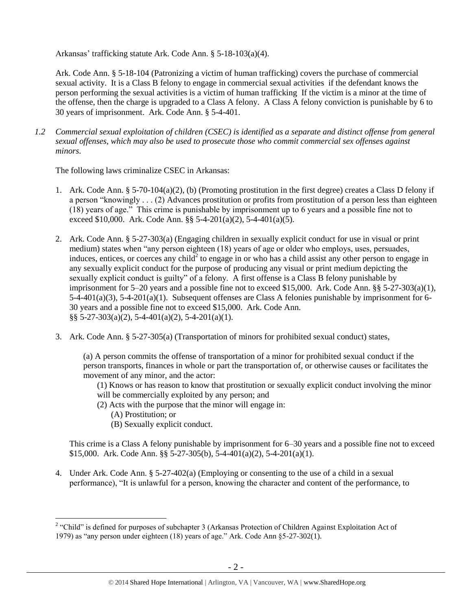Arkansas' trafficking statute Ark. Code Ann. § 5-18-103(a)(4).

Ark. Code Ann. § 5-18-104 (Patronizing a victim of human trafficking) covers the purchase of commercial sexual activity. It is a Class B felony to engage in commercial sexual activities if the defendant knows the person performing the sexual activities is a victim of human trafficking If the victim is a minor at the time of the offense, then the charge is upgraded to a Class A felony. A Class A felony conviction is punishable by 6 to 30 years of imprisonment. Ark. Code Ann. § 5-4-401.

*1.2 Commercial sexual exploitation of children (CSEC) is identified as a separate and distinct offense from general sexual offenses, which may also be used to prosecute those who commit commercial sex offenses against minors.*

The following laws criminalize CSEC in Arkansas:

- 1. Ark. Code Ann. § 5-70-104(a)(2), (b) (Promoting prostitution in the first degree) creates a Class D felony if a person "knowingly . . . (2) Advances prostitution or profits from prostitution of a person less than eighteen (18) years of age." This crime is punishable by imprisonment up to 6 years and a possible fine not to exceed \$10,000. Ark. Code Ann.  $\S$ § 5-4-201(a)(2), 5-4-401(a)(5).
- 2. Ark. Code Ann. § 5-27-303(a) (Engaging children in sexually explicit conduct for use in visual or print medium) states when "any person eighteen (18) years of age or older who employs, uses, persuades, induces, entices, or coerces any child<sup>2</sup> to engage in or who has a child assist any other person to engage in any sexually explicit conduct for the purpose of producing any visual or print medium depicting the sexually explicit conduct is guilty" of a felony. A first offense is a Class B felony punishable by imprisonment for 5–20 years and a possible fine not to exceed \$15,000. Ark. Code Ann.  $\S$ § 5-27-303(a)(1), 5-4-401(a)(3), 5-4-201(a)(1). Subsequent offenses are Class A felonies punishable by imprisonment for 6- 30 years and a possible fine not to exceed \$15,000. Ark. Code Ann. §§ 5-27-303(a)(2), 5-4-401(a)(2), 5-4-201(a)(1).
- 3. Ark. Code Ann. § 5-27-305(a) (Transportation of minors for prohibited sexual conduct) states,

(a) A person commits the offense of transportation of a minor for prohibited sexual conduct if the person transports, finances in whole or part the transportation of, or otherwise causes or facilitates the movement of any minor, and the actor:

(1) Knows or has reason to know that prostitution or sexually explicit conduct involving the minor will be commercially exploited by any person; and

- (2) Acts with the purpose that the minor will engage in:
	- (A) Prostitution; or
	- (B) Sexually explicit conduct.

This crime is a Class A felony punishable by imprisonment for 6–30 years and a possible fine not to exceed \$15,000. Ark. Code Ann. §§ 5-27-305(b), 5-4-401(a)(2), 5-4-201(a)(1).

4. Under Ark. Code Ann. § 5-27-402(a) (Employing or consenting to the use of a child in a sexual performance), "It is unlawful for a person, knowing the character and content of the performance, to

<sup>&</sup>lt;sup>2</sup> "Child" is defined for purposes of subchapter 3 (Arkansas Protection of Children Against Exploitation Act of 1979) as "any person under eighteen (18) years of age." Ark. Code Ann §5-27-302(1).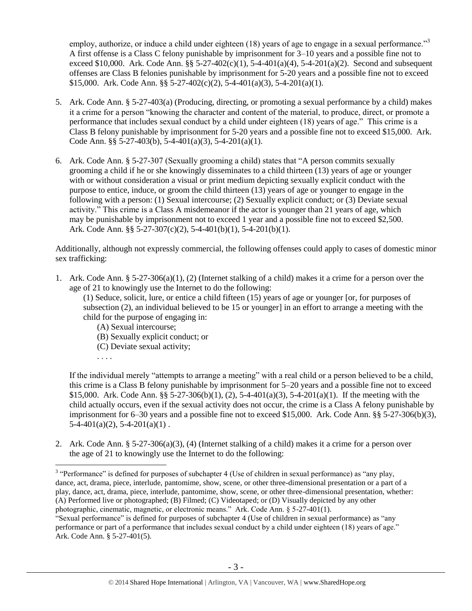employ, authorize, or induce a child under eighteen (18) years of age to engage in a sexual performance."<sup>3</sup> A first offense is a Class C felony punishable by imprisonment for 3–10 years and a possible fine not to exceed \$10,000. Ark. Code Ann.  $\S$ § 5-27-402(c)(1), 5-4-401(a)(4), 5-4-201(a)(2). Second and subsequent offenses are Class B felonies punishable by imprisonment for 5-20 years and a possible fine not to exceed \$15,000. Ark. Code Ann. §§ 5-27-402(c)(2), 5-4-401(a)(3), 5-4-201(a)(1).

- 5. Ark. Code Ann. § 5-27-403(a) (Producing, directing, or promoting a sexual performance by a child) makes it a crime for a person "knowing the character and content of the material, to produce, direct, or promote a performance that includes sexual conduct by a child under eighteen (18) years of age." This crime is a Class B felony punishable by imprisonment for 5-20 years and a possible fine not to exceed \$15,000. Ark. Code Ann. §§ 5-27-403(b), 5-4-401(a)(3), 5-4-201(a)(1).
- 6. Ark. Code Ann. § 5-27-307 (Sexually grooming a child) states that "A person commits sexually grooming a child if he or she knowingly disseminates to a child thirteen (13) years of age or younger with or without consideration a visual or print medium depicting sexually explicit conduct with the purpose to entice, induce, or groom the child thirteen (13) years of age or younger to engage in the following with a person: (1) Sexual intercourse; (2) Sexually explicit conduct; or (3) Deviate sexual activity." This crime is a Class A misdemeanor if the actor is younger than 21 years of age, which may be punishable by imprisonment not to exceed 1 year and a possible fine not to exceed \$2,500. Ark. Code Ann. §§ 5-27-307(c)(2), 5-4-401(b)(1), 5-4-201(b)(1).

Additionally, although not expressly commercial, the following offenses could apply to cases of domestic minor sex trafficking:

1. Ark. Code Ann. § 5-27-306(a)(1), (2) (Internet stalking of a child) makes it a crime for a person over the age of 21 to knowingly use the Internet to do the following:

(1) Seduce, solicit, lure, or entice a child fifteen (15) years of age or younger [or, for purposes of subsection (2), an individual believed to be 15 or younger] in an effort to arrange a meeting with the child for the purpose of engaging in:

- (A) Sexual intercourse;
- (B) Sexually explicit conduct; or
- (C) Deviate sexual activity;
- . . . .

If the individual merely "attempts to arrange a meeting" with a real child or a person believed to be a child, this crime is a Class B felony punishable by imprisonment for 5–20 years and a possible fine not to exceed \$15,000. Ark. Code Ann. §§ 5-27-306(b)(1), (2), 5-4-401(a)(3), 5-4-201(a)(1). If the meeting with the child actually occurs, even if the sexual activity does not occur, the crime is a Class A felony punishable by imprisonment for 6–30 years and a possible fine not to exceed \$15,000. Ark. Code Ann. §§ 5-27-306(b)(3),  $5-4-401(a)(2)$ ,  $5-4-201(a)(1)$ .

2. Ark. Code Ann. § 5-27-306(a)(3), (4) (Internet stalking of a child) makes it a crime for a person over the age of 21 to knowingly use the Internet to do the following:

<sup>&</sup>lt;sup>3</sup> "Performance" is defined for purposes of subchapter 4 (Use of children in sexual performance) as "any play, dance, act, drama, piece, interlude, pantomime, show, scene, or other three-dimensional presentation or a part of a play, dance, act, drama, piece, interlude, pantomime, show, scene, or other three-dimensional presentation, whether: (A) Performed live or photographed; (B) Filmed; (C) Videotaped; or (D) Visually depicted by any other photographic, cinematic, magnetic, or electronic means." Ark. Code Ann. § 5-27-401(1).

<sup>&</sup>quot;Sexual performance" is defined for purposes of subchapter 4 (Use of children in sexual performance) as "any performance or part of a performance that includes sexual conduct by a child under eighteen (18) years of age." Ark. Code Ann. § 5-27-401(5).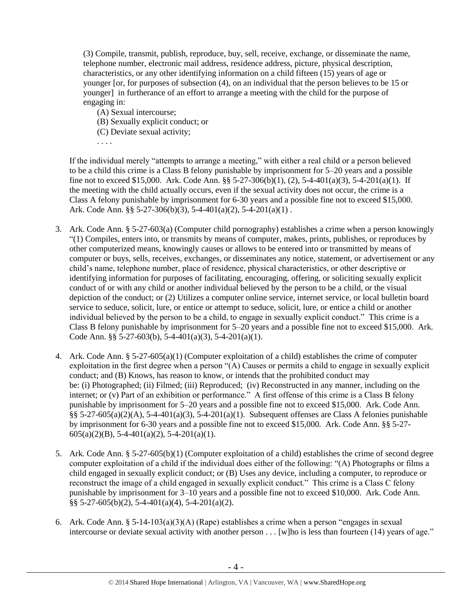(3) Compile, transmit, publish, reproduce, buy, sell, receive, exchange, or disseminate the name, telephone number, electronic mail address, residence address, picture, physical description, characteristics, or any other identifying information on a child fifteen (15) years of age or younger [or, for purposes of subsection (4), on an individual that the person believes to be 15 or younger] in furtherance of an effort to arrange a meeting with the child for the purpose of engaging in:

- (A) Sexual intercourse;
- (B) Sexually explicit conduct; or
- (C) Deviate sexual activity;

. . . .

If the individual merely "attempts to arrange a meeting," with either a real child or a person believed to be a child this crime is a Class B felony punishable by imprisonment for 5–20 years and a possible fine not to exceed \$15,000. Ark. Code Ann. §§ 5-27-306(b)(1), (2), 5-4-401(a)(3), 5-4-201(a)(1). If the meeting with the child actually occurs, even if the sexual activity does not occur, the crime is a Class A felony punishable by imprisonment for 6-30 years and a possible fine not to exceed \$15,000. Ark. Code Ann. §§ 5-27-306(b)(3), 5-4-401(a)(2), 5-4-201(a)(1) .

- 3. Ark. Code Ann. § 5-27-603(a) (Computer child pornography) establishes a crime when a person knowingly "(1) Compiles, enters into, or transmits by means of computer, makes, prints, publishes, or reproduces by other computerized means, knowingly causes or allows to be entered into or transmitted by means of computer or buys, sells, receives, exchanges, or disseminates any notice, statement, or advertisement or any child's name, telephone number, place of residence, physical characteristics, or other descriptive or identifying information for purposes of facilitating, encouraging, offering, or soliciting sexually explicit conduct of or with any child or another individual believed by the person to be a child, or the visual depiction of the conduct; or (2) Utilizes a computer online service, internet service, or local bulletin board service to seduce, solicit, lure, or entice or attempt to seduce, solicit, lure, or entice a child or another individual believed by the person to be a child, to engage in sexually explicit conduct." This crime is a Class B felony punishable by imprisonment for 5–20 years and a possible fine not to exceed \$15,000. Ark. Code Ann. §§ 5-27-603(b), 5-4-401(a)(3), 5-4-201(a)(1).
- 4. Ark. Code Ann. § 5-27-605(a)(1) (Computer exploitation of a child) establishes the crime of computer exploitation in the first degree when a person "(A) Causes or permits a child to engage in sexually explicit conduct; and (B) Knows, has reason to know, or intends that the prohibited conduct may be: (i) Photographed; (ii) Filmed; (iii) Reproduced; (iv) Reconstructed in any manner, including on the internet; or (v) Part of an exhibition or performance." A first offense of this crime is a Class B felony punishable by imprisonment for 5–20 years and a possible fine not to exceed \$15,000. Ark. Code Ann. §§ 5-27-605(a)(2)(A), 5-4-401(a)(3), 5-4-201(a)(1). Subsequent offenses are Class A felonies punishable by imprisonment for 6-30 years and a possible fine not to exceed \$15,000. Ark. Code Ann. §§ 5-27-  $605(a)(2)(B)$ , 5-4-401(a)(2), 5-4-201(a)(1).
- 5. Ark. Code Ann. § 5-27-605(b)(1) (Computer exploitation of a child) establishes the crime of second degree computer exploitation of a child if the individual does either of the following: "(A) Photographs or films a child engaged in sexually explicit conduct; or (B) Uses any device, including a computer, to reproduce or reconstruct the image of a child engaged in sexually explicit conduct." This crime is a Class C felony punishable by imprisonment for 3–10 years and a possible fine not to exceed \$10,000. Ark. Code Ann.  $\S$ § 5-27-605(b)(2), 5-4-401(a)(4), 5-4-201(a)(2).
- 6. Ark. Code Ann. § 5-14-103(a)(3)(A) (Rape) establishes a crime when a person "engages in sexual intercourse or deviate sexual activity with another person . . . [w]ho is less than fourteen (14) years of age."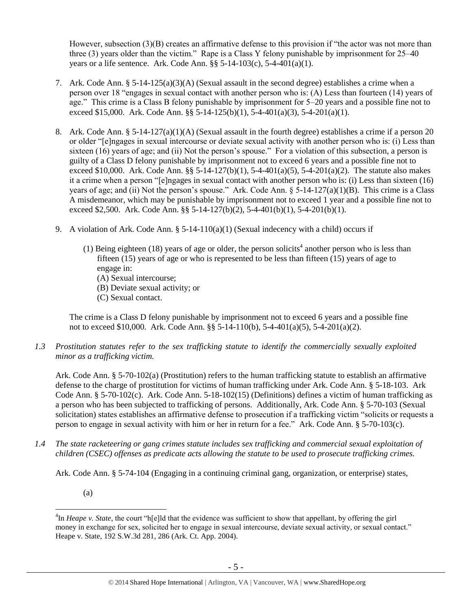However, subsection (3)(B) creates an affirmative defense to this provision if "the actor was not more than three (3) years older than the victim." Rape is a Class Y felony punishable by imprisonment for 25–40 years or a life sentence. Ark. Code Ann.  $\S$ § 5-14-103(c), 5-4-401(a)(1).

- 7. Ark. Code Ann. § 5-14-125(a)(3)(A) (Sexual assault in the second degree) establishes a crime when a person over 18 "engages in sexual contact with another person who is: (A) Less than fourteen (14) years of age." This crime is a Class B felony punishable by imprisonment for 5–20 years and a possible fine not to exceed \$15,000. Ark. Code Ann. §§ 5-14-125(b)(1), 5-4-401(a)(3), 5-4-201(a)(1).
- 8. Ark. Code Ann. § 5-14-127(a)(1)(A) (Sexual assault in the fourth degree) establishes a crime if a person 20 or older "[e]ngages in sexual intercourse or deviate sexual activity with another person who is: (i) Less than sixteen (16) years of age; and (ii) Not the person's spouse." For a violation of this subsection, a person is guilty of a Class D felony punishable by imprisonment not to exceed 6 years and a possible fine not to exceed \$10,000. Ark. Code Ann. §§ 5-14-127(b)(1), 5-4-401(a)(5), 5-4-201(a)(2). The statute also makes it a crime when a person "[e]ngages in sexual contact with another person who is: (i) Less than sixteen (16) years of age; and (ii) Not the person's spouse." Ark. Code Ann.  $\S$  5-14-127(a)(1)(B). This crime is a Class A misdemeanor, which may be punishable by imprisonment not to exceed 1 year and a possible fine not to exceed \$2,500. Ark. Code Ann. §§ 5-14-127(b)(2), 5-4-401(b)(1), 5-4-201(b)(1).
- 9. A violation of Ark. Code Ann. § 5-14-110(a)(1) (Sexual indecency with a child) occurs if
	- (1) Being eighteen (18) years of age or older, the person solicits<sup>4</sup> another person who is less than fifteen (15) years of age or who is represented to be less than fifteen (15) years of age to engage in:
		- (A) Sexual intercourse;
		- (B) Deviate sexual activity; or
		- (C) Sexual contact.

The crime is a Class D felony punishable by imprisonment not to exceed 6 years and a possible fine not to exceed \$10,000. Ark. Code Ann. §§ 5-14-110(b), 5-4-401(a)(5), 5-4-201(a)(2).

*1.3 Prostitution statutes refer to the sex trafficking statute to identify the commercially sexually exploited minor as a trafficking victim.* 

Ark. Code Ann. § 5-70-102(a) (Prostitution) refers to the human trafficking statute to establish an affirmative defense to the charge of prostitution for victims of human trafficking under Ark. Code Ann. § 5-18-103. Ark Code Ann. § 5-70-102(c). Ark. Code Ann. 5-18-102(15) (Definitions) defines a victim of human trafficking as a person who has been subjected to trafficking of persons. Additionally, Ark. Code Ann. § 5-70-103 (Sexual solicitation) states establishes an affirmative defense to prosecution if a trafficking victim "solicits or requests a person to engage in sexual activity with him or her in return for a fee." Ark. Code Ann. § 5-70-103(c).

*1.4 The state racketeering or gang crimes statute includes sex trafficking and commercial sexual exploitation of children (CSEC) offenses as predicate acts allowing the statute to be used to prosecute trafficking crimes.* 

Ark. Code Ann. § 5-74-104 (Engaging in a continuing criminal gang, organization, or enterprise) states,

(a)

 $\overline{a}$ 

<sup>&</sup>lt;sup>4</sup>In *Heape v. State*, the court "h[e]ld that the evidence was sufficient to show that appellant, by offering the girl money in exchange for sex, solicited her to engage in sexual intercourse, deviate sexual activity, or sexual contact." Heape v. State, 192 S.W.3d 281, 286 (Ark. Ct. App. 2004).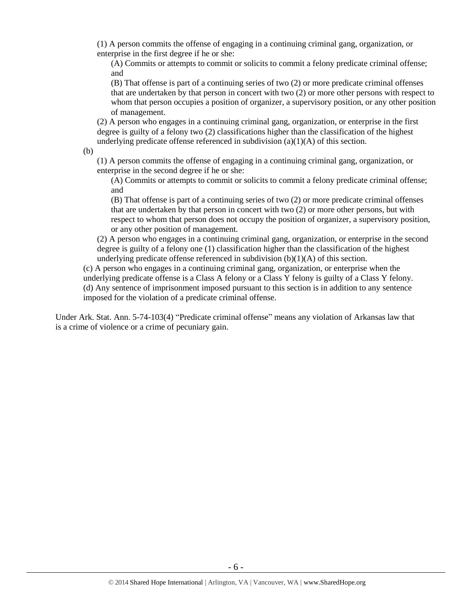(1) A person commits the offense of engaging in a continuing criminal gang, organization, or enterprise in the first degree if he or she:

(A) Commits or attempts to commit or solicits to commit a felony predicate criminal offense; and

(B) That offense is part of a continuing series of two (2) or more predicate criminal offenses that are undertaken by that person in concert with two (2) or more other persons with respect to whom that person occupies a position of organizer, a supervisory position, or any other position of management.

(2) A person who engages in a continuing criminal gang, organization, or enterprise in the first degree is guilty of a felony two (2) classifications higher than the classification of the highest underlying predicate offense referenced in subdivision (a)(1)(A) of this section.

(b)

(1) A person commits the offense of engaging in a continuing criminal gang, organization, or enterprise in the second degree if he or she:

(A) Commits or attempts to commit or solicits to commit a felony predicate criminal offense; and

(B) That offense is part of a continuing series of two (2) or more predicate criminal offenses that are undertaken by that person in concert with two (2) or more other persons, but with respect to whom that person does not occupy the position of organizer, a supervisory position, or any other position of management.

(2) A person who engages in a continuing criminal gang, organization, or enterprise in the second degree is guilty of a felony one (1) classification higher than the classification of the highest underlying predicate offense referenced in subdivision  $(b)(1)(A)$  of this section.

(c) A person who engages in a continuing criminal gang, organization, or enterprise when the underlying predicate offense is a Class A felony or a Class Y felony is guilty of a Class Y felony. (d) Any sentence of imprisonment imposed pursuant to this section is in addition to any sentence imposed for the violation of a predicate criminal offense.

Under Ark. Stat. Ann. 5-74-103(4) "Predicate criminal offense" means any violation of Arkansas law that is a crime of violence or a crime of pecuniary gain.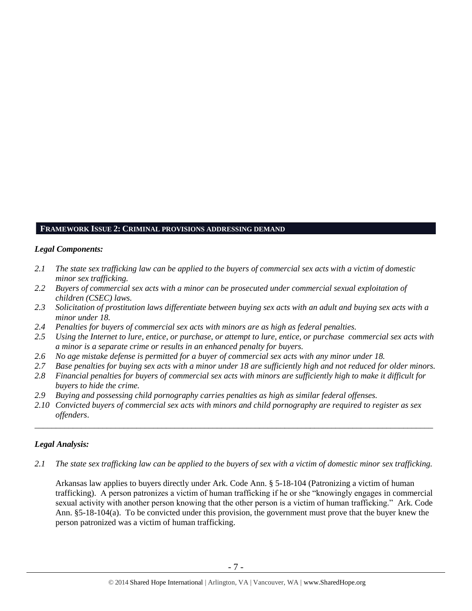## **FRAMEWORK ISSUE 2: CRIMINAL PROVISIONS ADDRESSING DEMAND**

## *Legal Components:*

- *2.1 The state sex trafficking law can be applied to the buyers of commercial sex acts with a victim of domestic minor sex trafficking.*
- *2.2 Buyers of commercial sex acts with a minor can be prosecuted under commercial sexual exploitation of children (CSEC) laws.*
- *2.3 Solicitation of prostitution laws differentiate between buying sex acts with an adult and buying sex acts with a minor under 18.*
- *2.4 Penalties for buyers of commercial sex acts with minors are as high as federal penalties.*
- *2.5 Using the Internet to lure, entice, or purchase, or attempt to lure, entice, or purchase commercial sex acts with a minor is a separate crime or results in an enhanced penalty for buyers.*
- *2.6 No age mistake defense is permitted for a buyer of commercial sex acts with any minor under 18.*
- *2.7 Base penalties for buying sex acts with a minor under 18 are sufficiently high and not reduced for older minors.*
- *2.8 Financial penalties for buyers of commercial sex acts with minors are sufficiently high to make it difficult for buyers to hide the crime.*
- *2.9 Buying and possessing child pornography carries penalties as high as similar federal offenses.*
- *2.10 Convicted buyers of commercial sex acts with minors and child pornography are required to register as sex offenders*.

# *Legal Analysis:*

*2.1 The state sex trafficking law can be applied to the buyers of sex with a victim of domestic minor sex trafficking.*

\_\_\_\_\_\_\_\_\_\_\_\_\_\_\_\_\_\_\_\_\_\_\_\_\_\_\_\_\_\_\_\_\_\_\_\_\_\_\_\_\_\_\_\_\_\_\_\_\_\_\_\_\_\_\_\_\_\_\_\_\_\_\_\_\_\_\_\_\_\_\_\_\_\_\_\_\_\_\_\_\_\_\_\_\_\_\_\_\_\_\_\_\_\_

Arkansas law applies to buyers directly under Ark. Code Ann. § 5-18-104 (Patronizing a victim of human trafficking). A person patronizes a victim of human trafficking if he or she "knowingly engages in commercial sexual activity with another person knowing that the other person is a victim of human trafficking." Ark. Code Ann. §5-18-104(a). To be convicted under this provision, the government must prove that the buyer knew the person patronized was a victim of human trafficking.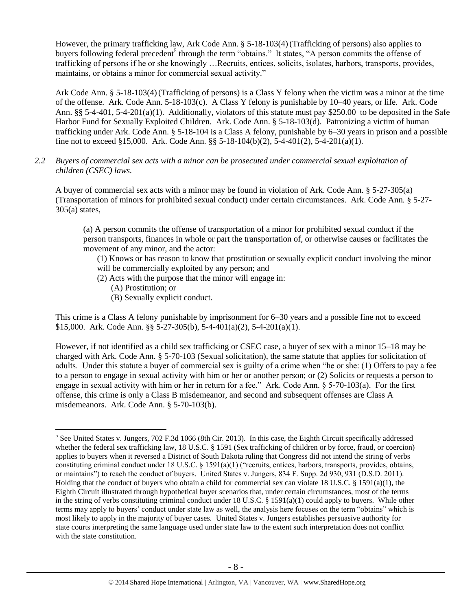However, the primary trafficking law, Ark Code Ann. § 5-18-103(4) (Trafficking of persons) also applies to buyers following federal precedent<sup>5</sup> through the term "obtains." It states, "A person commits the offense of trafficking of persons if he or she knowingly …Recruits, entices, solicits, isolates, harbors, transports, provides, maintains, or obtains a minor for commercial sexual activity."

Ark Code Ann. § 5-18-103(4)(Trafficking of persons) is a Class Y felony when the victim was a minor at the time of the offense. Ark. Code Ann. 5-18-103(c). A Class Y felony is punishable by 10–40 years, or life. Ark. Code Ann. §§ 5-4-401, 5-4-201(a)(1). Additionally, violators of this statute must pay \$250.00 to be deposited in the Safe Harbor Fund for Sexually Exploited Children. Ark. Code Ann. § 5-18-103(d). Patronizing a victim of human trafficking under Ark. Code Ann. § 5-18-104 is a Class A felony, punishable by 6–30 years in prison and a possible fine not to exceed §15,000. Ark. Code Ann. §§ 5-18-104(b)(2), 5-4-401(2), 5-4-201(a)(1).

*2.2 Buyers of commercial sex acts with a minor can be prosecuted under commercial sexual exploitation of children (CSEC) laws.*

A buyer of commercial sex acts with a minor may be found in violation of Ark. Code Ann. § 5-27-305(a) (Transportation of minors for prohibited sexual conduct) under certain circumstances. Ark. Code Ann. § 5-27-  $305(a)$  states,

(a) A person commits the offense of transportation of a minor for prohibited sexual conduct if the person transports, finances in whole or part the transportation of, or otherwise causes or facilitates the movement of any minor, and the actor:

(1) Knows or has reason to know that prostitution or sexually explicit conduct involving the minor will be commercially exploited by any person; and

- (2) Acts with the purpose that the minor will engage in:
	- (A) Prostitution; or

 $\overline{a}$ 

(B) Sexually explicit conduct.

This crime is a Class A felony punishable by imprisonment for 6–30 years and a possible fine not to exceed \$15,000. Ark. Code Ann. §§ 5-27-305(b), 5-4-401(a)(2), 5-4-201(a)(1).

However, if not identified as a child sex trafficking or CSEC case, a buyer of sex with a minor 15–18 may be charged with Ark. Code Ann. § 5-70-103 (Sexual solicitation), the same statute that applies for solicitation of adults. Under this statute a buyer of commercial sex is guilty of a crime when "he or she: (1) Offers to pay a fee to a person to engage in sexual activity with him or her or another person; or (2) Solicits or requests a person to engage in sexual activity with him or her in return for a fee." Ark. Code Ann. § 5-70-103(a). For the first offense, this crime is only a Class B misdemeanor, and second and subsequent offenses are Class A misdemeanors. Ark. Code Ann. § 5-70-103(b).

<sup>&</sup>lt;sup>5</sup> See United States v. Jungers, 702 F.3d 1066 (8th Cir. 2013). In this case, the Eighth Circuit specifically addressed whether the federal sex trafficking law, 18 U.S.C. § 1591 (Sex trafficking of children or by force, fraud, or coercion) applies to buyers when it reversed a District of South Dakota ruling that Congress did not intend the string of verbs constituting criminal conduct under 18 U.S.C. § 1591(a)(1) ("recruits, entices, harbors, transports, provides, obtains, or maintains") to reach the conduct of buyers. United States v. Jungers, 834 F. Supp. 2d 930, 931 (D.S.D. 2011). Holding that the conduct of buyers who obtain a child for commercial sex can violate 18 U.S.C. § 1591(a)(1), the Eighth Circuit illustrated through hypothetical buyer scenarios that, under certain circumstances, most of the terms in the string of verbs constituting criminal conduct under 18 U.S.C. § 1591(a)(1) could apply to buyers. While other terms may apply to buyers' conduct under state law as well, the analysis here focuses on the term "obtains" which is most likely to apply in the majority of buyer cases. United States v. Jungers establishes persuasive authority for state courts interpreting the same language used under state law to the extent such interpretation does not conflict with the state constitution.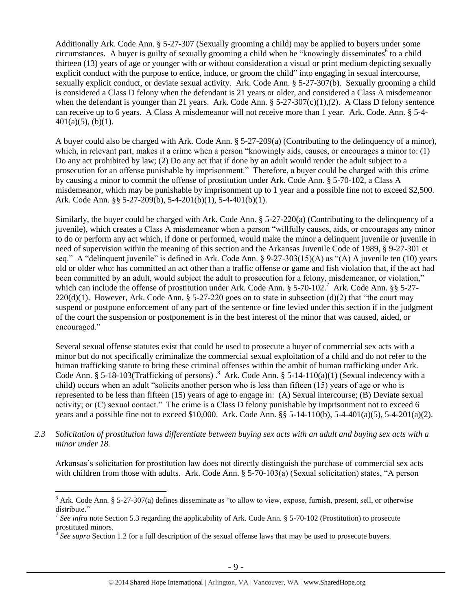Additionally Ark. Code Ann. § 5-27-307 (Sexually grooming a child) may be applied to buyers under some circumstances. A buyer is guilty of sexually grooming a child when he "knowingly disseminates<sup>6</sup> to a child thirteen (13) years of age or younger with or without consideration a visual or print medium depicting sexually explicit conduct with the purpose to entice, induce, or groom the child" into engaging in sexual intercourse, sexually explicit conduct, or deviate sexual activity. Ark. Code Ann. § 5-27-307(b). Sexually grooming a child is considered a Class D felony when the defendant is 21 years or older, and considered a Class A misdemeanor when the defendant is younger than 21 years. Ark. Code Ann.  $\S 5-27-307(c)(1),(2)$ . A Class D felony sentence can receive up to 6 years. A Class A misdemeanor will not receive more than 1 year. Ark. Code. Ann. § 5-4-  $401(a)(5)$ , (b)(1).

A buyer could also be charged with Ark. Code Ann. § 5-27-209(a) (Contributing to the delinquency of a minor), which, in relevant part, makes it a crime when a person "knowingly aids, causes, or encourages a minor to: (1) Do any act prohibited by law; (2) Do any act that if done by an adult would render the adult subject to a prosecution for an offense punishable by imprisonment." Therefore, a buyer could be charged with this crime by causing a minor to commit the offense of prostitution under Ark. Code Ann. § 5-70-102, a Class A misdemeanor, which may be punishable by imprisonment up to 1 year and a possible fine not to exceed \$2,500. Ark. Code Ann. §§ 5-27-209(b), 5-4-201(b)(1), 5-4-401(b)(1).

Similarly, the buyer could be charged with Ark. Code Ann. § 5-27-220(a) (Contributing to the delinquency of a juvenile), which creates a Class A misdemeanor when a person "willfully causes, aids, or encourages any minor to do or perform any act which, if done or performed, would make the minor a delinquent juvenile or juvenile in need of supervision within the meaning of this section and the Arkansas Juvenile Code of 1989, § 9-27-301 et seq." A "delinquent juvenile" is defined in Ark. Code Ann. § 9-27-303(15)(A) as "(A) A juvenile ten (10) years old or older who: has committed an act other than a traffic offense or game and fish violation that, if the act had been committed by an adult, would subject the adult to prosecution for a felony, misdemeanor, or violation," which can include the offense of prostitution under Ark. Code Ann. § 5-70-102.<sup>7</sup> Ark. Code Ann. §§ 5-27-220(d)(1). However, Ark. Code Ann. § 5-27-220 goes on to state in subsection (d)(2) that "the court may suspend or postpone enforcement of any part of the sentence or fine levied under this section if in the judgment of the court the suspension or postponement is in the best interest of the minor that was caused, aided, or encouraged."

Several sexual offense statutes exist that could be used to prosecute a buyer of commercial sex acts with a minor but do not specifically criminalize the commercial sexual exploitation of a child and do not refer to the human trafficking statute to bring these criminal offenses within the ambit of human trafficking under Ark. Code Ann. § 5-18-103(Trafficking of persons).<sup>8</sup> Ark. Code Ann. § 5-14-110(a)(1) (Sexual indecency with a child) occurs when an adult "solicits another person who is less than fifteen (15) years of age or who is represented to be less than fifteen (15) years of age to engage in: (A) Sexual intercourse; (B) Deviate sexual activity; or (C) sexual contact." The crime is a Class D felony punishable by imprisonment not to exceed 6 years and a possible fine not to exceed \$10,000. Ark. Code Ann. §§ 5-14-110(b), 5-4-401(a)(5), 5-4-201(a)(2).

*2.3 Solicitation of prostitution laws differentiate between buying sex acts with an adult and buying sex acts with a minor under 18.*

Arkansas's solicitation for prostitution law does not directly distinguish the purchase of commercial sex acts with children from those with adults. Ark. Code Ann. § 5-70-103(a) (Sexual solicitation) states, "A person

 $\overline{a}$ 

 $6$  Ark. Code Ann. § 5-27-307(a) defines disseminate as "to allow to view, expose, furnish, present, sell, or otherwise distribute."

<sup>&</sup>lt;sup>7</sup> See infra note Section 5.3 regarding the applicability of Ark. Code Ann. § 5-70-102 (Prostitution) to prosecute prostituted minors.

<sup>&</sup>lt;sup>8</sup> See supra Section 1.2 for a full description of the sexual offense laws that may be used to prosecute buyers.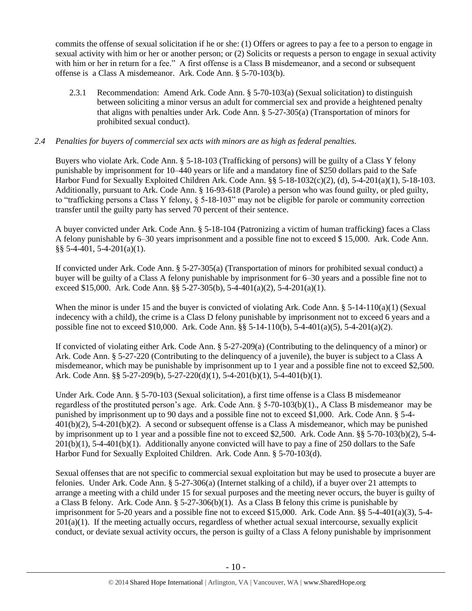commits the offense of sexual solicitation if he or she: (1) Offers or agrees to pay a fee to a person to engage in sexual activity with him or her or another person; or (2) Solicits or requests a person to engage in sexual activity with him or her in return for a fee." A first offense is a Class B misdemeanor, and a second or subsequent offense is a Class A misdemeanor. Ark. Code Ann. § 5-70-103(b).

2.3.1 Recommendation: Amend Ark. Code Ann. § 5-70-103(a) (Sexual solicitation) to distinguish between soliciting a minor versus an adult for commercial sex and provide a heightened penalty that aligns with penalties under Ark. Code Ann. § 5-27-305(a) (Transportation of minors for prohibited sexual conduct).

# *2.4 Penalties for buyers of commercial sex acts with minors are as high as federal penalties.*

Buyers who violate Ark. Code Ann. § 5-18-103 (Trafficking of persons) will be guilty of a Class Y felony punishable by imprisonment for 10–440 years or life and a mandatory fine of \$250 dollars paid to the Safe Harbor Fund for Sexually Exploited Children Ark. Code Ann. §§ 5-18-1032(c)(2), (d), 5-4-201(a)(1), 5-18-103. Additionally, pursuant to Ark. Code Ann. § 16-93-618 (Parole) a person who was found guilty, or pled guilty, to "trafficking persons a Class Y felony, § 5-18-103" may not be eligible for parole or community correction transfer until the guilty party has served 70 percent of their sentence.

A buyer convicted under Ark. Code Ann. § 5-18-104 (Patronizing a victim of human trafficking) faces a Class A felony punishable by 6–30 years imprisonment and a possible fine not to exceed \$ 15,000. Ark. Code Ann. §§ 5-4-401, 5-4-201(a)(1).

If convicted under Ark. Code Ann. § 5-27-305(a) (Transportation of minors for prohibited sexual conduct) a buyer will be guilty of a Class A felony punishable by imprisonment for 6–30 years and a possible fine not to exceed \$15,000. Ark. Code Ann. §§ 5-27-305(b), 5-4-401(a)(2), 5-4-201(a)(1).

When the minor is under 15 and the buyer is convicted of violating Ark. Code Ann.  $\S$  5-14-110(a)(1) (Sexual indecency with a child), the crime is a Class D felony punishable by imprisonment not to exceed 6 years and a possible fine not to exceed \$10,000. Ark. Code Ann. §§ 5-14-110(b), 5-4-401(a)(5), 5-4-201(a)(2).

If convicted of violating either Ark. Code Ann. § 5-27-209(a) (Contributing to the delinquency of a minor) or Ark. Code Ann. § 5-27-220 (Contributing to the delinquency of a juvenile), the buyer is subject to a Class A misdemeanor, which may be punishable by imprisonment up to 1 year and a possible fine not to exceed \$2,500. Ark. Code Ann. §§ 5-27-209(b), 5-27-220(d)(1), 5-4-201(b)(1), 5-4-401(b)(1).

Under Ark. Code Ann. § 5-70-103 (Sexual solicitation), a first time offense is a Class B misdemeanor regardless of the prostituted person's age. Ark. Code Ann. § 5-70-103(b)(1)., A Class B misdemeanor may be punished by imprisonment up to 90 days and a possible fine not to exceed \$1,000. Ark. Code Ann. § 5-4- 401(b)(2), 5-4-201(b)(2). A second or subsequent offense is a Class A misdemeanor, which may be punished by imprisonment up to 1 year and a possible fine not to exceed \$2,500. Ark. Code Ann. §§ 5-70-103(b)(2), 5-4-  $201(b)(1)$ , 5-4-401(b)(1). Additionally anyone convicted will have to pay a fine of 250 dollars to the Safe Harbor Fund for Sexually Exploited Children. Ark. Code Ann. § 5-70-103(d).

Sexual offenses that are not specific to commercial sexual exploitation but may be used to prosecute a buyer are felonies. Under Ark. Code Ann. § 5-27-306(a) (Internet stalking of a child), if a buyer over 21 attempts to arrange a meeting with a child under 15 for sexual purposes and the meeting never occurs, the buyer is guilty of a Class B felony. Ark. Code Ann.  $\S 5-27-306(b)(1)$ . As a Class B felony this crime is punishable by imprisonment for 5-20 years and a possible fine not to exceed \$15,000. Ark. Code Ann. §§ 5-4-401(a)(3), 5-4-  $201(a)(1)$ . If the meeting actually occurs, regardless of whether actual sexual intercourse, sexually explicit conduct, or deviate sexual activity occurs, the person is guilty of a Class A felony punishable by imprisonment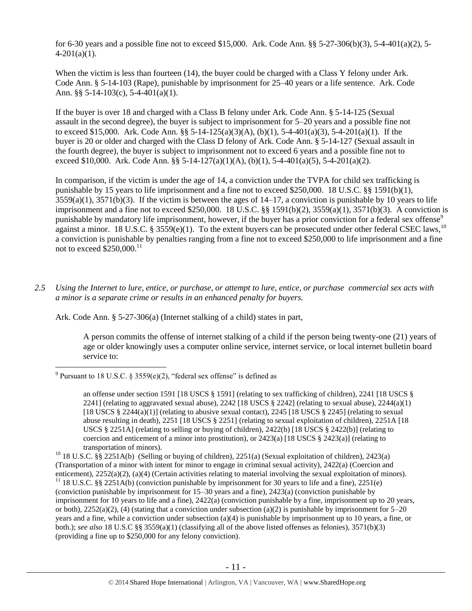for 6-30 years and a possible fine not to exceed \$15,000. Ark. Code Ann. §§ 5-27-306(b)(3), 5-4-401(a)(2), 5-  $4-201(a)(1)$ .

When the victim is less than fourteen (14), the buyer could be charged with a Class Y felony under Ark. Code Ann. § 5-14-103 (Rape), punishable by imprisonment for 25–40 years or a life sentence. Ark. Code Ann. §§ 5-14-103(c), 5-4-401(a)(1).

If the buyer is over 18 and charged with a Class B felony under Ark. Code Ann. § 5-14-125 (Sexual assault in the second degree), the buyer is subject to imprisonment for 5–20 years and a possible fine not to exceed \$15,000. Ark. Code Ann. §§ 5-14-125(a)(3)(A), (b)(1), 5-4-401(a)(3), 5-4-201(a)(1). If the buyer is 20 or older and charged with the Class D felony of Ark. Code Ann. § 5-14-127 (Sexual assault in the fourth degree), the buyer is subject to imprisonment not to exceed 6 years and a possible fine not to exceed \$10,000. Ark. Code Ann. §§ 5-14-127(a)(1)(A), (b)(1), 5-4-401(a)(5), 5-4-201(a)(2).

In comparison, if the victim is under the age of 14, a conviction under the TVPA for child sex trafficking is punishable by 15 years to life imprisonment and a fine not to exceed \$250,000. 18 U.S.C. §§ 1591(b)(1),  $3559(a)(1)$ ,  $3571(b)(3)$ . If the victim is between the ages of  $14-17$ , a conviction is punishable by 10 years to life imprisonment and a fine not to exceed \$250,000. 18 U.S.C. §§ 1591(b)(2), 3559(a)(1), 3571(b)(3). A conviction is punishable by mandatory life imprisonment, however, if the buyer has a prior conviction for a federal sex offense<sup>9</sup> against a minor. 18 U.S.C. § 3559(e)(1). To the extent buyers can be prosecuted under other federal CSEC laws,<sup>10</sup> a conviction is punishable by penalties ranging from a fine not to exceed \$250,000 to life imprisonment and a fine not to exceed  $\$250,000$ .<sup>11</sup>

*2.5 Using the Internet to lure, entice, or purchase, or attempt to lure, entice, or purchase commercial sex acts with a minor is a separate crime or results in an enhanced penalty for buyers.*

Ark. Code Ann. § 5-27-306(a) (Internet stalking of a child) states in part,

<span id="page-10-0"></span>A person commits the offense of internet stalking of a child if the person being twenty-one (21) years of age or older knowingly uses a computer online service, internet service, or local internet bulletin board service to:

 $\overline{a}$ 

<sup>&</sup>lt;sup>9</sup> Pursuant to 18 U.S.C. § 3559(e)(2), "federal sex offense" is defined as

an offense under section 1591 [18 USCS § 1591] (relating to sex trafficking of children), 2241 [18 USCS § 2241] (relating to aggravated sexual abuse), 2242 [18 USCS  $\S$  2242] (relating to sexual abuse), 2244(a)(1) [18 USCS § 2244(a)(1)] (relating to abusive sexual contact), 2245 [18 USCS § 2245] (relating to sexual abuse resulting in death), 2251 [18 USCS § 2251] (relating to sexual exploitation of children), 2251A [18 USCS  $\S 2251$ A] (relating to selling or buying of children), 2422(b) [18 USCS  $\S 2422$ (b)] (relating to coercion and enticement of a minor into prostitution), or  $2423(a)$  [18 USCS §  $2423(a)$ ] (relating to transportation of minors).

<sup>&</sup>lt;sup>10</sup> 18 U.S.C. §§ 2251A(b) (Selling or buying of children), 2251(a) (Sexual exploitation of children), 2423(a) (Transportation of a minor with intent for minor to engage in criminal sexual activity), 2422(a) (Coercion and enticement), 2252(a)(2), (a)(4) (Certain activities relating to material involving the sexual exploitation of minors). <sup>11</sup> 18 U.S.C. §§ 2251A(b) (conviction punishable by imprisonment for 30 years to life and a fine), 2251(e) (conviction punishable by imprisonment for 15–30 years and a fine), 2423(a) (conviction punishable by imprisonment for 10 years to life and a fine), 2422(a) (conviction punishable by a fine, imprisonment up to 20 years, or both),  $2252(a)(2)$ , (4) (stating that a conviction under subsection (a)(2) is punishable by imprisonment for  $5-20$ years and a fine, while a conviction under subsection (a)(4) is punishable by imprisonment up to 10 years, a fine, or both.); *see also* 18 U.S.C §§ 3559(a)(1) (classifying all of the above listed offenses as felonies), 3571(b)(3) (providing a fine up to \$250,000 for any felony conviction).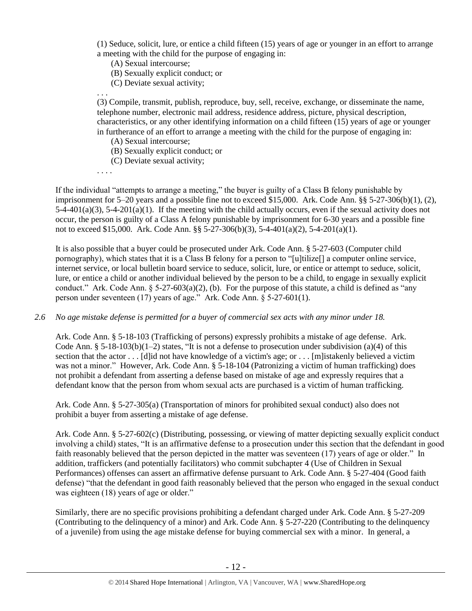(1) Seduce, solicit, lure, or entice a child fifteen (15) years of age or younger in an effort to arrange a meeting with the child for the purpose of engaging in:

(A) Sexual intercourse;

(B) Sexually explicit conduct; or

(C) Deviate sexual activity;

(3) Compile, transmit, publish, reproduce, buy, sell, receive, exchange, or disseminate the name, telephone number, electronic mail address, residence address, picture, physical description, characteristics, or any other identifying information on a child fifteen (15) years of age or younger in furtherance of an effort to arrange a meeting with the child for the purpose of engaging in:

(A) Sexual intercourse;

(B) Sexually explicit conduct; or

(C) Deviate sexual activity;

. . . .

. . .

If the individual "attempts to arrange a meeting," the buyer is guilty of a Class B felony punishable by imprisonment for 5–20 years and a possible fine not to exceed \$15,000. Ark. Code Ann. §§ 5-27-306(b)(1), (2), 5-4-401(a)(3), 5-4-201(a)(1). If the meeting with the child actually occurs, even if the sexual activity does not occur, the person is guilty of a Class A felony punishable by imprisonment for 6-30 years and a possible fine not to exceed \$15,000. Ark. Code Ann. §§ 5-27-306(b)(3), 5-4-401(a)(2), 5-4-201(a)(1).

It is also possible that a buyer could be prosecuted under Ark. Code Ann. § 5-27-603 (Computer child pornography), which states that it is a Class B felony for a person to "[u]tilize[] a computer online service, internet service, or local bulletin board service to seduce, solicit, lure, or entice or attempt to seduce, solicit, lure, or entice a child or another individual believed by the person to be a child, to engage in sexually explicit conduct." Ark. Code Ann.  $\S$  5-27-603(a)(2), (b). For the purpose of this statute, a child is defined as "any person under seventeen (17) years of age." Ark. Code Ann. § 5-27-601(1).

*2.6 No age mistake defense is permitted for a buyer of commercial sex acts with any minor under 18.*

Ark. Code Ann. § 5-18-103 (Trafficking of persons) expressly prohibits a mistake of age defense. Ark. Code Ann. § 5-18-103(b)(1-2) states, "It is not a defense to prosecution under subdivision (a)(4) of this section that the actor . . . [d]id not have knowledge of a victim's age; or . . . [m]istakenly believed a victim was not a minor." However, Ark. Code Ann. § 5-18-104 (Patronizing a victim of human trafficking) does not prohibit a defendant from asserting a defense based on mistake of age and expressly requires that a defendant know that the person from whom sexual acts are purchased is a victim of human trafficking.

Ark. Code Ann. § 5-27-305(a) (Transportation of minors for prohibited sexual conduct) also does not prohibit a buyer from asserting a mistake of age defense.

Ark. Code Ann. § 5-27-602(c) (Distributing, possessing, or viewing of matter depicting sexually explicit conduct involving a child) states, "It is an affirmative defense to a prosecution under this section that the defendant in good faith reasonably believed that the person depicted in the matter was seventeen (17) years of age or older." In addition, traffickers (and potentially facilitators) who commit subchapter 4 (Use of Children in Sexual Performances) offenses can assert an affirmative defense pursuant to Ark. Code Ann. § 5-27-404 (Good faith defense) "that the defendant in good faith reasonably believed that the person who engaged in the sexual conduct was eighteen (18) years of age or older."

Similarly, there are no specific provisions prohibiting a defendant charged under Ark. Code Ann. § 5-27-209 (Contributing to the delinquency of a minor) and Ark. Code Ann. § 5-27-220 (Contributing to the delinquency of a juvenile) from using the age mistake defense for buying commercial sex with a minor. In general, a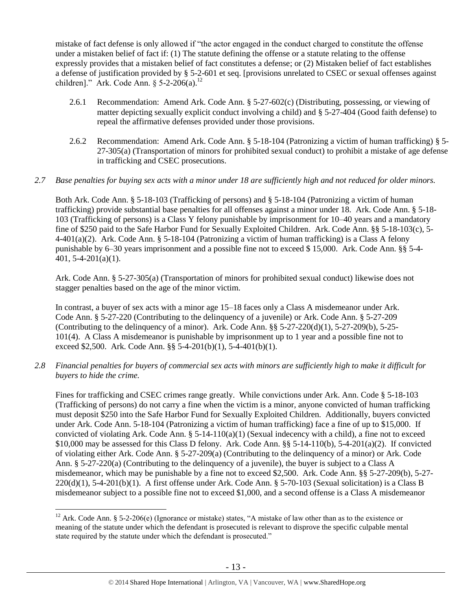mistake of fact defense is only allowed if "the actor engaged in the conduct charged to constitute the offense under a mistaken belief of fact if: (1) The statute defining the offense or a statute relating to the offense expressly provides that a mistaken belief of fact constitutes a defense; or (2) Mistaken belief of fact establishes a defense of justification provided by § 5-2-601 et seq. [provisions unrelated to CSEC or sexual offenses against children]." Ark. Code Ann.  $\S$  5-2-206(a).<sup>12</sup>

- 2.6.1 Recommendation: Amend Ark. Code Ann. § 5-27-602(c) (Distributing, possessing, or viewing of matter depicting sexually explicit conduct involving a child) and § 5-27-404 (Good faith defense) to repeal the affirmative defenses provided under those provisions.
- 2.6.2 Recommendation: Amend Ark. Code Ann. § 5-18-104 (Patronizing a victim of human trafficking) § 5- 27-305(a) (Transportation of minors for prohibited sexual conduct) to prohibit a mistake of age defense in trafficking and CSEC prosecutions.

# *2.7 Base penalties for buying sex acts with a minor under 18 are sufficiently high and not reduced for older minors.*

Both Ark. Code Ann. § 5-18-103 (Trafficking of persons) and § 5-18-104 (Patronizing a victim of human trafficking) provide substantial base penalties for all offenses against a minor under 18. Ark. Code Ann. § 5-18- 103 (Trafficking of persons) is a Class Y felony punishable by imprisonment for 10–40 years and a mandatory fine of \$250 paid to the Safe Harbor Fund for Sexually Exploited Children. Ark. Code Ann. §§ 5-18-103(c), 5- 4-401(a)(2). Ark. Code Ann. § 5-18-104 (Patronizing a victim of human trafficking) is a Class A felony punishable by 6–30 years imprisonment and a possible fine not to exceed \$ 15,000. Ark. Code Ann. §§ 5-4- 401, 5-4-201(a)(1).

Ark. Code Ann. § 5-27-305(a) (Transportation of minors for prohibited sexual conduct) likewise does not stagger penalties based on the age of the minor victim.

In contrast, a buyer of sex acts with a minor age 15–18 faces only a Class A misdemeanor under Ark. Code Ann. § 5-27-220 (Contributing to the delinquency of a juvenile) or Ark. Code Ann. § 5-27-209 (Contributing to the delinquency of a minor). Ark. Code Ann.  $\S$ § 5-27-220(d)(1), 5-27-209(b), 5-25-101(4). A Class A misdemeanor is punishable by imprisonment up to 1 year and a possible fine not to exceed \$2,500. Ark. Code Ann. §§ 5-4-201(b)(1), 5-4-401(b)(1).

*2.8 Financial penalties for buyers of commercial sex acts with minors are sufficiently high to make it difficult for buyers to hide the crime.*

Fines for trafficking and CSEC crimes range greatly. While convictions under Ark. Ann. Code § 5-18-103 (Trafficking of persons) do not carry a fine when the victim is a minor, anyone convicted of human trafficking must deposit \$250 into the Safe Harbor Fund for Sexually Exploited Children. Additionally, buyers convicted under Ark. Code Ann. 5-18-104 (Patronizing a victim of human trafficking) face a fine of up to \$15,000. If convicted of violating Ark. Code Ann.  $\S 5-14-110(a)(1)$  (Sexual indecency with a child), a fine not to exceed \$10,000 may be assessed for this Class D felony. Ark. Code Ann.  $\S$ § 5-14-110(b), 5-4-201(a)(2). If convicted of violating either Ark. Code Ann. § 5-27-209(a) (Contributing to the delinquency of a minor) or Ark. Code Ann. § 5-27-220(a) (Contributing to the delinquency of a juvenile), the buyer is subject to a Class A misdemeanor, which may be punishable by a fine not to exceed \$2,500. Ark. Code Ann. §§ 5-27-209(b), 5-27-  $220(d)(1)$ , 5-4-201(b)(1). A first offense under Ark. Code Ann. § 5-70-103 (Sexual solicitation) is a Class B misdemeanor subject to a possible fine not to exceed \$1,000, and a second offense is a Class A misdemeanor

 $\overline{a}$ 

<sup>&</sup>lt;sup>12</sup> Ark. Code Ann. § 5-2-206(e) (Ignorance or mistake) states, "A mistake of law other than as to the existence or meaning of the statute under which the defendant is prosecuted is relevant to disprove the specific culpable mental state required by the statute under which the defendant is prosecuted."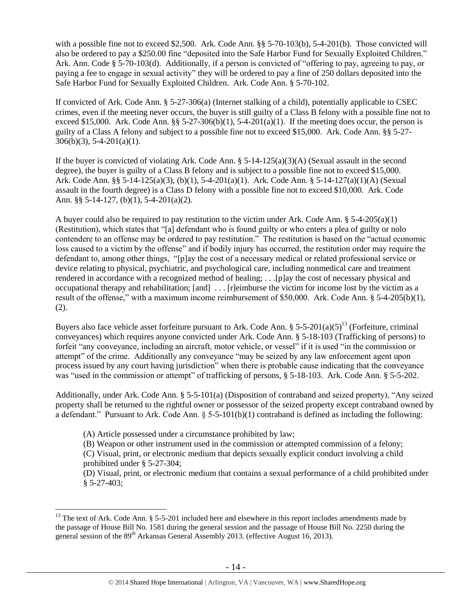with a possible fine not to exceed \$2,500. Ark. Code Ann. §§ 5-70-103(b), 5-4-201(b). Those convicted will also be ordered to pay a \$250.00 fine "deposited into the Safe Harbor Fund for Sexually Exploited Children." Ark. Ann. Code § 5-70-103(d). Additionally, if a person is convicted of "offering to pay, agreeing to pay, or paying a fee to engage in sexual activity" they will be ordered to pay a fine of 250 dollars deposited into the Safe Harbor Fund for Sexually Exploited Children. Ark. Code Ann. § 5-70-102.

If convicted of Ark. Code Ann. § 5-27-306(a) (Internet stalking of a child), potentially applicable to CSEC crimes, even if the meeting never occurs, the buyer is still guilty of a Class B felony with a possible fine not to exceed \$15,000. Ark. Code Ann.  $\S$ § 5-27-306(b)(1), 5-4-201(a)(1). If the meeting does occur, the person is guilty of a Class A felony and subject to a possible fine not to exceed \$15,000. Ark. Code Ann. §§ 5-27-  $306(b)(3)$ , 5-4-201(a)(1).

If the buyer is convicted of violating Ark. Code Ann. § 5-14-125(a)(3)(A) (Sexual assault in the second degree), the buyer is guilty of a Class B felony and is subject to a possible fine not to exceed \$15,000. Ark. Code Ann. §§ 5-14-125(a)(3), (b)(1), 5-4-201(a)(1). Ark. Code Ann. § 5-14-127(a)(1)(A) (Sexual assault in the fourth degree) is a Class D felony with a possible fine not to exceed \$10,000. Ark. Code Ann. §§ 5-14-127, (b)(1), 5-4-201(a)(2).

A buyer could also be required to pay restitution to the victim under Ark. Code Ann.  $\S$  5-4-205(a)(1) (Restitution), which states that "[a] defendant who is found guilty or who enters a plea of guilty or nolo contendere to an offense may be ordered to pay restitution." The restitution is based on the "actual economic loss caused to a victim by the offense" and if bodily injury has occurred, the restitution order may require the defendant to, among other things, "[p]ay the cost of a necessary medical or related professional service or device relating to physical, psychiatric, and psychological care, including nonmedical care and treatment rendered in accordance with a recognized method of healing; . . .[p]ay the cost of necessary physical and occupational therapy and rehabilitation; [and] . . . [r]eimburse the victim for income lost by the victim as a result of the offense," with a maximum income reimbursement of \$50,000. Ark. Code Ann. § 5-4-205(b)(1),  $(2)$ .

Buyers also face vehicle asset forfeiture pursuant to Ark. Code Ann. § 5-5-201(a)(5)<sup>13</sup> (Forfeiture, criminal conveyances) which requires anyone convicted under Ark. Code Ann. § 5-18-103 (Trafficking of persons) to forfeit "any conveyance, including an aircraft, motor vehicle, or vessel" if it is used "in the commission or attempt" of the crime. Additionally any conveyance "may be seized by any law enforcement agent upon process issued by any court having jurisdiction" when there is probable cause indicating that the conveyance was "used in the commission or attempt" of trafficking of persons, § 5-18-103. Ark. Code Ann. § 5-5-202.

Additionally, under Ark. Code Ann. § 5-5-101(a) (Disposition of contraband and seized property), "Any seized property shall be returned to the rightful owner or possessor of the seized property except contraband owned by a defendant." Pursuant to Ark. Code Ann.  $\S$  5-5-101(b)(1) contraband is defined as including the following:

(A) Article possessed under a circumstance prohibited by law;

 $\overline{a}$ 

(B) Weapon or other instrument used in the commission or attempted commission of a felony;

(C) Visual, print, or electronic medium that depicts sexually explicit conduct involving a child prohibited under § 5-27-304;

(D) Visual, print, or electronic medium that contains a sexual performance of a child prohibited under § 5-27-403;

 $13$  The text of Ark. Code Ann. § 5-5-201 included here and elsewhere in this report includes amendments made by the passage of House Bill No. 1581 during the general session and the passage of House Bill No. 2250 during the general session of the 89<sup>th</sup> Arkansas General Assembly 2013. (effective August 16, 2013).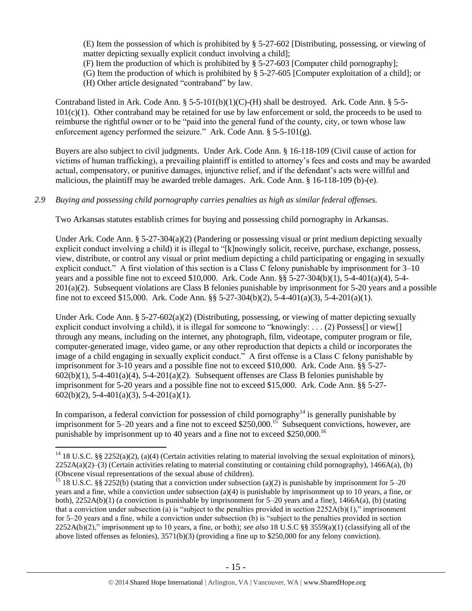(E) Item the possession of which is prohibited by § 5-27-602 [Distributing, possessing, or viewing of matter depicting sexually explicit conduct involving a child];

(F) Item the production of which is prohibited by § 5-27-603 [Computer child pornography];

(G) Item the production of which is prohibited by § 5-27-605 [Computer exploitation of a child]; or

(H) Other article designated "contraband" by law.

Contraband listed in Ark. Code Ann. § 5-5-101(b)(1)(C)-(H) shall be destroyed. Ark. Code Ann. § 5-5-  $101(c)(1)$ . Other contraband may be retained for use by law enforcement or sold, the proceeds to be used to reimburse the rightful owner or to be "paid into the general fund of the county, city, or town whose law enforcement agency performed the seizure." Ark. Code Ann. § 5-5-101(g).

Buyers are also subject to civil judgments. Under Ark. Code Ann. § 16-118-109 (Civil cause of action for victims of human trafficking), a prevailing plaintiff is entitled to attorney's fees and costs and may be awarded actual, compensatory, or punitive damages, injunctive relief, and if the defendant's acts were willful and malicious, the plaintiff may be awarded treble damages. Ark. Code Ann. § 16-118-109 (b)-(e).

# *2.9 Buying and possessing child pornography carries penalties as high as similar federal offenses.*

Two Arkansas statutes establish crimes for buying and possessing child pornography in Arkansas.

Under Ark. Code Ann.  $\S 5-27-304(a)(2)$  (Pandering or possessing visual or print medium depicting sexually explicit conduct involving a child) it is illegal to "[k]nowingly solicit, receive, purchase, exchange, possess, view, distribute, or control any visual or print medium depicting a child participating or engaging in sexually explicit conduct." A first violation of this section is a Class C felony punishable by imprisonment for 3–10 years and a possible fine not to exceed \$10,000. Ark. Code Ann. §§ 5-27-304(b)(1), 5-4-401(a)(4), 5-4- 201(a)(2). Subsequent violations are Class B felonies punishable by imprisonment for 5-20 years and a possible fine not to exceed \$15,000. Ark. Code Ann. §§ 5-27-304(b)(2), 5-4-401(a)(3), 5-4-201(a)(1).

Under Ark. Code Ann.  $\S 5-27-602(a)(2)$  (Distributing, possessing, or viewing of matter depicting sexually explicit conduct involving a child), it is illegal for someone to "knowingly: . . . (2) Possess[] or view[] through any means, including on the internet, any photograph, film, videotape, computer program or file, computer-generated image, video game, or any other reproduction that depicts a child or incorporates the image of a child engaging in sexually explicit conduct." A first offense is a Class C felony punishable by imprisonment for 3-10 years and a possible fine not to exceed \$10,000. Ark. Code Ann. §§ 5-27-  $602(b)(1)$ , 5-4-401(a)(4), 5-4-201(a)(2). Subsequent offenses are Class B felonies punishable by imprisonment for 5-20 years and a possible fine not to exceed \$15,000. Ark. Code Ann. §§ 5-27-  $602(b)(2)$ , 5-4-401(a)(3), 5-4-201(a)(1).

In comparison, a federal conviction for possession of child pornography<sup>14</sup> is generally punishable by imprisonment for 5–20 years and a fine not to exceed \$250,000.<sup>15</sup> Subsequent convictions, however, are punishable by imprisonment up to 40 years and a fine not to exceed \$250,000.<sup>16</sup>

 $\overline{a}$ <sup>14</sup> 18 U.S.C. §§ 2252(a)(2), (a)(4) (Certain activities relating to material involving the sexual exploitation of minors),  $2252A(a)(2)$ –(3) (Certain activities relating to material constituting or containing child pornography), 1466A(a), (b) (Obscene visual representations of the sexual abuse of children).

<sup>&</sup>lt;sup>15</sup> 18 U.S.C. §§ 2252(b) (stating that a conviction under subsection (a)(2) is punishable by imprisonment for 5–20 years and a fine, while a conviction under subsection (a)(4) is punishable by imprisonment up to 10 years, a fine, or both), 2252A(b)(1) (a conviction is punishable by imprisonment for 5–20 years and a fine), 1466A(a), (b) (stating that a conviction under subsection (a) is "subject to the penalties provided in section  $2252A(b)(1)$ ," imprisonment for 5–20 years and a fine, while a conviction under subsection (b) is "subject to the penalties provided in section 2252A(b)(2)," imprisonment up to 10 years, a fine, or both); *see also* 18 U.S.C §§ 3559(a)(1) (classifying all of the above listed offenses as felonies), 3571(b)(3) (providing a fine up to \$250,000 for any felony conviction).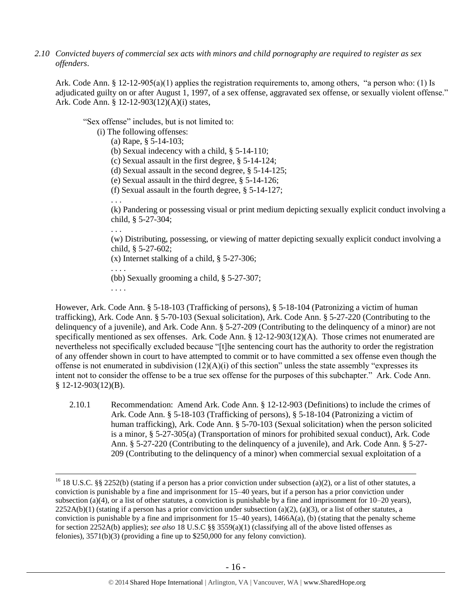*2.10 Convicted buyers of commercial sex acts with minors and child pornography are required to register as sex offenders*.

Ark. Code Ann. § 12-12-905(a)(1) applies the registration requirements to, among others, "a person who: (1) Is adjudicated guilty on or after August 1, 1997, of a sex offense, aggravated sex offense, or sexually violent offense." Ark. Code Ann. § 12-12-903(12)(A)(i) states,

"Sex offense" includes, but is not limited to:

(i) The following offenses:

- (a) Rape, § 5-14-103;
- (b) Sexual indecency with a child, § 5-14-110;
- (c) Sexual assault in the first degree, § 5-14-124;
- (d) Sexual assault in the second degree, § 5-14-125;
- (e) Sexual assault in the third degree, § 5-14-126;
- (f) Sexual assault in the fourth degree, § 5-14-127;

(k) Pandering or possessing visual or print medium depicting sexually explicit conduct involving a child, § 5-27-304;

(w) Distributing, possessing, or viewing of matter depicting sexually explicit conduct involving a child, § 5-27-602;

(x) Internet stalking of a child, § 5-27-306;

. . . . (bb) Sexually grooming a child, § 5-27-307;

. . . .

 $\overline{a}$ 

. . .

. . .

However, Ark. Code Ann. § 5-18-103 (Trafficking of persons), § 5-18-104 (Patronizing a victim of human trafficking), Ark. Code Ann. § 5-70-103 (Sexual solicitation), Ark. Code Ann. § 5-27-220 (Contributing to the delinquency of a juvenile), and Ark. Code Ann. § 5-27-209 (Contributing to the delinquency of a minor) are not specifically mentioned as sex offenses. Ark. Code Ann. § 12-12-903(12)(A). Those crimes not enumerated are nevertheless not specifically excluded because "[t]he sentencing court has the authority to order the registration of any offender shown in court to have attempted to commit or to have committed a sex offense even though the offense is not enumerated in subdivision  $(12)(A)(i)$  of this section" unless the state assembly "expresses its intent not to consider the offense to be a true sex offense for the purposes of this subchapter." Ark. Code Ann. § 12-12-903(12)(B).

2.10.1 Recommendation: Amend Ark. Code Ann. § 12-12-903 (Definitions) to include the crimes of Ark. Code Ann. § 5-18-103 (Trafficking of persons), § 5-18-104 (Patronizing a victim of human trafficking), Ark. Code Ann. § 5-70-103 (Sexual solicitation) when the person solicited is a minor, § 5-27-305(a) (Transportation of minors for prohibited sexual conduct), Ark. Code Ann. § 5-27-220 (Contributing to the delinquency of a juvenile), and Ark. Code Ann. § 5-27- 209 (Contributing to the delinquency of a minor) when commercial sexual exploitation of a

<sup>&</sup>lt;sup>16</sup> 18 U.S.C. §§ 2252(b) (stating if a person has a prior conviction under subsection (a)(2), or a list of other statutes, a conviction is punishable by a fine and imprisonment for 15–40 years, but if a person has a prior conviction under subsection (a)(4), or a list of other statutes, a conviction is punishable by a fine and imprisonment for  $10-20$  years),  $2252A(b)(1)$  (stating if a person has a prior conviction under subsection (a)(2), (a)(3), or a list of other statutes, a conviction is punishable by a fine and imprisonment for 15–40 years), 1466A(a), (b) (stating that the penalty scheme for section 2252A(b) applies); *see also* 18 U.S.C §§ 3559(a)(1) (classifying all of the above listed offenses as felonies), 3571(b)(3) (providing a fine up to \$250,000 for any felony conviction).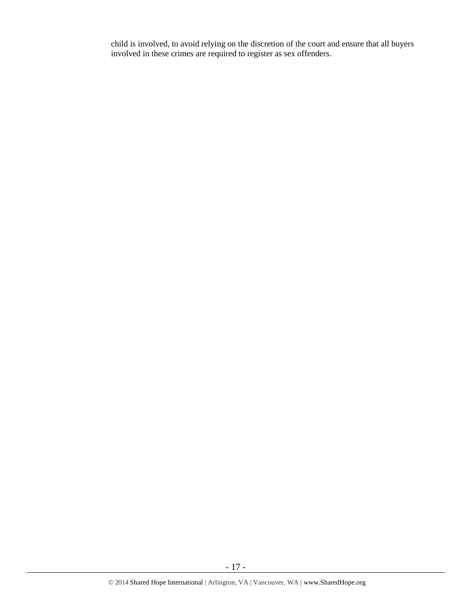child is involved, to avoid relying on the discretion of the court and ensure that all buyers involved in these crimes are required to register as sex offenders.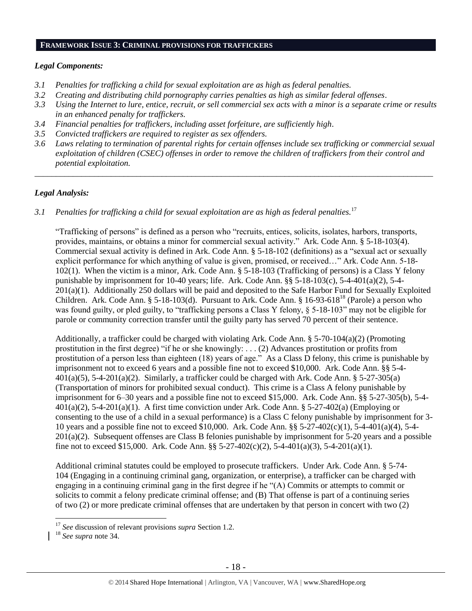#### **FRAMEWORK ISSUE 3: CRIMINAL PROVISIONS FOR TRAFFICKERS**

# *Legal Components:*

- *3.1 Penalties for trafficking a child for sexual exploitation are as high as federal penalties.*
- *3.2 Creating and distributing child pornography carries penalties as high as similar federal offenses*.
- *3.3 Using the Internet to lure, entice, recruit, or sell commercial sex acts with a minor is a separate crime or results in an enhanced penalty for traffickers.*
- *3.4 Financial penalties for traffickers, including asset forfeiture, are sufficiently high*.
- *3.5 Convicted traffickers are required to register as sex offenders.*
- *3.6 Laws relating to termination of parental rights for certain offenses include sex trafficking or commercial sexual exploitation of children (CSEC) offenses in order to remove the children of traffickers from their control and potential exploitation.*

*\_\_\_\_\_\_\_\_\_\_\_\_\_\_\_\_\_\_\_\_\_\_\_\_\_\_\_\_\_\_\_\_\_\_\_\_\_\_\_\_\_\_\_\_\_\_\_\_\_\_\_\_\_\_\_\_\_\_\_\_\_\_\_\_\_\_\_\_\_\_\_\_\_\_\_\_\_\_\_\_\_\_\_\_\_\_\_\_\_\_\_\_\_\_*

# *Legal Analysis:*

*3.1 Penalties for trafficking a child for sexual exploitation are as high as federal penalties.*<sup>17</sup>

"Trafficking of persons" is defined as a person who "recruits, entices, solicits, isolates, harbors, transports, provides, maintains, or obtains a minor for commercial sexual activity." Ark. Code Ann. § 5-18-103(4). Commercial sexual activity is defined in Ark. Code Ann. § 5-18-102 (definitions) as a "sexual act or sexually explicit performance for which anything of value is given, promised, or received…" Ark. Code Ann. 5-18- 102(1). When the victim is a minor, Ark. Code Ann. § 5-18-103 (Trafficking of persons) is a Class Y felony punishable by imprisonment for 10-40 years; life. Ark. Code Ann. §§ 5-18-103(c), 5-4-401(a)(2), 5-4- 201(a)(1). Additionally 250 dollars will be paid and deposited to the Safe Harbor Fund for Sexually Exploited Children. Ark. Code Ann. § 5-18-103(d). Pursuant to Ark. Code Ann. § 16-93-618<sup>18</sup> (Parole) a person who was found guilty, or pled guilty, to "trafficking persons a Class Y felony,  $\S$  5-18-103" may not be eligible for parole or community correction transfer until the guilty party has served 70 percent of their sentence.

Additionally, a trafficker could be charged with violating Ark. Code Ann. § 5-70-104(a)(2) (Promoting prostitution in the first degree) "if he or she knowingly: . . . (2) Advances prostitution or profits from prostitution of a person less than eighteen (18) years of age." As a Class D felony, this crime is punishable by imprisonment not to exceed 6 years and a possible fine not to exceed \$10,000. Ark. Code Ann. §§ 5-4-  $401(a)(5)$ , 5-4-201(a)(2). Similarly, a trafficker could be charged with Ark. Code Ann. § 5-27-305(a) (Transportation of minors for prohibited sexual conduct). This crime is a Class A felony punishable by imprisonment for 6–30 years and a possible fine not to exceed \$15,000. Ark. Code Ann. §§ 5-27-305(b), 5-4-  $401(a)(2)$ , 5-4-201(a)(1). A first time conviction under Ark. Code Ann. § 5-27-402(a) (Employing or consenting to the use of a child in a sexual performance) is a Class C felony punishable by imprisonment for 3- 10 years and a possible fine not to exceed \$10,000. Ark. Code Ann. §§ 5-27-402(c)(1), 5-4-401(a)(4), 5-4- 201(a)(2). Subsequent offenses are Class B felonies punishable by imprisonment for 5-20 years and a possible fine not to exceed \$15,000. Ark. Code Ann. §§ 5-27-402(c)(2), 5-4-401(a)(3), 5-4-201(a)(1).

Additional criminal statutes could be employed to prosecute traffickers. Under Ark. Code Ann. § 5-74- 104 (Engaging in a continuing criminal gang, organization, or enterprise), a trafficker can be charged with engaging in a continuing criminal gang in the first degree if he "(A) Commits or attempts to commit or solicits to commit a felony predicate criminal offense; and (B) That offense is part of a continuing series of two (2) or more predicate criminal offenses that are undertaken by that person in concert with two (2)

 $\overline{a}$ 

<sup>17</sup> *See* discussion of relevant provisions *supra* Section 1.2.

<sup>18</sup> *See supra* note 34.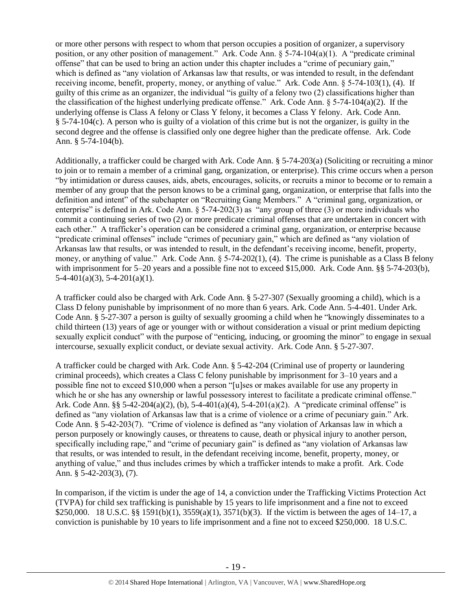or more other persons with respect to whom that person occupies a position of organizer, a supervisory position, or any other position of management." Ark. Code Ann. § 5-74-104(a)(1). A "predicate criminal offense" that can be used to bring an action under this chapter includes a "crime of pecuniary gain," which is defined as "any violation of Arkansas law that results, or was intended to result, in the defendant receiving income, benefit, property, money, or anything of value." Ark. Code Ann. § 5-74-103(1), (4). If guilty of this crime as an organizer, the individual "is guilty of a felony two (2) classifications higher than the classification of the highest underlying predicate offense." Ark. Code Ann. § 5-74-104(a)(2). If the underlying offense is Class A felony or Class Y felony, it becomes a Class Y felony. Ark. Code Ann. § 5-74-104(c). A person who is guilty of a violation of this crime but is not the organizer, is guilty in the second degree and the offense is classified only one degree higher than the predicate offense. Ark. Code Ann. § 5-74-104(b).

Additionally, a trafficker could be charged with Ark. Code Ann. § 5-74-203(a) (Soliciting or recruiting a minor to join or to remain a member of a criminal gang, organization, or enterprise). This crime occurs when a person "by intimidation or duress causes, aids, abets, encourages, solicits, or recruits a minor to become or to remain a member of any group that the person knows to be a criminal gang, organization, or enterprise that falls into the definition and intent" of the subchapter on "Recruiting Gang Members." A "criminal gang, organization, or enterprise" is defined in Ark. Code Ann. § 5-74-202(3) as "any group of three (3) or more individuals who commit a continuing series of two (2) or more predicate criminal offenses that are undertaken in concert with each other." A trafficker's operation can be considered a criminal gang, organization, or enterprise because "predicate criminal offenses" include "crimes of pecuniary gain," which are defined as "any violation of Arkansas law that results, or was intended to result, in the defendant's receiving income, benefit, property, money, or anything of value." Ark. Code Ann. § 5-74-202(1), (4). The crime is punishable as a Class B felony with imprisonment for 5–20 years and a possible fine not to exceed \$15,000. Ark. Code Ann. §§ 5-74-203(b),  $5-4-401(a)(3)$ ,  $5-4-201(a)(1)$ .

A trafficker could also be charged with Ark. Code Ann. § 5-27-307 (Sexually grooming a child), which is a Class D felony punishable by imprisonment of no more than 6 years. Ark. Code Ann. 5-4-401. Under Ark. Code Ann. § 5-27-307 a person is guilty of sexually grooming a child when he "knowingly disseminates to a child thirteen (13) years of age or younger with or without consideration a visual or print medium depicting sexually explicit conduct" with the purpose of "enticing, inducing, or grooming the minor" to engage in sexual intercourse, sexually explicit conduct, or deviate sexual activity. Ark. Code Ann. § 5-27-307.

A trafficker could be charged with Ark. Code Ann. § 5-42-204 (Criminal use of property or laundering criminal proceeds), which creates a Class C felony punishable by imprisonment for 3–10 years and a possible fine not to exceed \$10,000 when a person "[u]ses or makes available for use any property in which he or she has any ownership or lawful possessory interest to facilitate a predicate criminal offense." Ark. Code Ann. §§ 5-42-204(a)(2), (b), 5-4-401(a)(4), 5-4-201(a)(2). A "predicate criminal offense" is defined as "any violation of Arkansas law that is a crime of violence or a crime of pecuniary gain." Ark. Code Ann. § 5-42-203(7). "Crime of violence is defined as "any violation of Arkansas law in which a person purposely or knowingly causes, or threatens to cause, death or physical injury to another person, specifically including rape," and "crime of pecuniary gain" is defined as "any violation of Arkansas law that results, or was intended to result, in the defendant receiving income, benefit, property, money, or anything of value," and thus includes crimes by which a trafficker intends to make a profit. Ark. Code Ann. § 5-42-203(3), (7).

In comparison, if the victim is under the age of 14, a conviction under the Trafficking Victims Protection Act (TVPA) for child sex trafficking is punishable by 15 years to life imprisonment and a fine not to exceed \$250,000. 18 U.S.C. §§ 1591(b)(1), 3559(a)(1), 3571(b)(3). If the victim is between the ages of 14–17, a conviction is punishable by 10 years to life imprisonment and a fine not to exceed \$250,000. 18 U.S.C.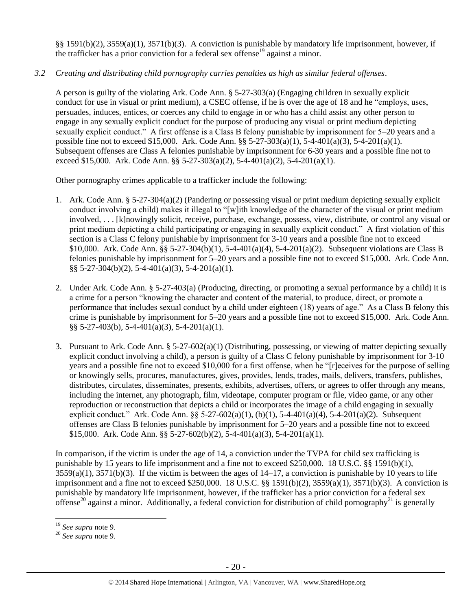§§ 1591(b)(2), 3559(a)(1), 3571(b)(3). A conviction is punishable by mandatory life imprisonment, however, if the trafficker has a prior conviction for a federal sex offense<sup>19</sup> against a minor.

# *3.2 Creating and distributing child pornography carries penalties as high as similar federal offenses*.

A person is guilty of the violating Ark. Code Ann. § 5-27-303(a) (Engaging children in sexually explicit conduct for use in visual or print medium), a CSEC offense, if he is over the age of 18 and he "employs, uses, persuades, induces, entices, or coerces any child to engage in or who has a child assist any other person to engage in any sexually explicit conduct for the purpose of producing any visual or print medium depicting sexually explicit conduct." A first offense is a Class B felony punishable by imprisonment for 5–20 years and a possible fine not to exceed \$15,000. Ark. Code Ann. §§ 5-27-303(a)(1), 5-4-401(a)(3), 5-4-201(a)(1). Subsequent offenses are Class A felonies punishable by imprisonment for 6-30 years and a possible fine not to exceed \$15,000. Ark. Code Ann. §§ 5-27-303(a)(2), 5-4-401(a)(2), 5-4-201(a)(1).

Other pornography crimes applicable to a trafficker include the following:

- 1. Ark. Code Ann. § 5-27-304(a)(2) (Pandering or possessing visual or print medium depicting sexually explicit conduct involving a child) makes it illegal to "[w]ith knowledge of the character of the visual or print medium involved, . . . [k]nowingly solicit, receive, purchase, exchange, possess, view, distribute, or control any visual or print medium depicting a child participating or engaging in sexually explicit conduct." A first violation of this section is a Class C felony punishable by imprisonment for 3-10 years and a possible fine not to exceed \$10,000. Ark. Code Ann. §§ 5-27-304(b)(1), 5-4-401(a)(4), 5-4-201(a)(2). Subsequent violations are Class B felonies punishable by imprisonment for 5–20 years and a possible fine not to exceed \$15,000. Ark. Code Ann. §§ 5-27-304(b)(2), 5-4-401(a)(3), 5-4-201(a)(1).
- 2. Under Ark. Code Ann. § 5-27-403(a) (Producing, directing, or promoting a sexual performance by a child) it is a crime for a person "knowing the character and content of the material, to produce, direct, or promote a performance that includes sexual conduct by a child under eighteen (18) years of age." As a Class B felony this crime is punishable by imprisonment for 5–20 years and a possible fine not to exceed \$15,000. Ark. Code Ann. §§ 5-27-403(b), 5-4-401(a)(3), 5-4-201(a)(1).
- 3. Pursuant to Ark. Code Ann. § 5-27-602(a)(1) (Distributing, possessing, or viewing of matter depicting sexually explicit conduct involving a child), a person is guilty of a Class C felony punishable by imprisonment for 3-10 years and a possible fine not to exceed \$10,000 for a first offense, when he "[r]eceives for the purpose of selling or knowingly sells, procures, manufactures, gives, provides, lends, trades, mails, delivers, transfers, publishes, distributes, circulates, disseminates, presents, exhibits, advertises, offers, or agrees to offer through any means, including the internet, any photograph, film, videotape, computer program or file, video game, or any other reproduction or reconstruction that depicts a child or incorporates the image of a child engaging in sexually explicit conduct." Ark. Code Ann. §§ 5-27-602(a)(1), (b)(1), 5-4-401(a)(4), 5-4-201(a)(2). Subsequent offenses are Class B felonies punishable by imprisonment for 5–20 years and a possible fine not to exceed \$15,000. Ark. Code Ann. §§ 5-27-602(b)(2), 5-4-401(a)(3), 5-4-201(a)(1).

In comparison, if the victim is under the age of 14, a conviction under the TVPA for child sex trafficking is punishable by 15 years to life imprisonment and a fine not to exceed \$250,000. 18 U.S.C. §§ 1591(b)(1),  $3559(a)(1)$ ,  $3571(b)(3)$ . If the victim is between the ages of  $14-17$ , a conviction is punishable by 10 years to life imprisonment and a fine not to exceed \$250,000. 18 U.S.C. §§ 1591(b)(2), 3559(a)(1), 3571(b)(3). A conviction is punishable by mandatory life imprisonment, however, if the trafficker has a prior conviction for a federal sex offense<sup>20</sup> against a minor. Additionally, a federal conviction for distribution of child pornography<sup>21</sup> is generally

 $\overline{a}$ 

<sup>19</sup> *See supra* note [9.](#page-10-0)

<sup>20</sup> *See supra* note [9.](#page-10-0)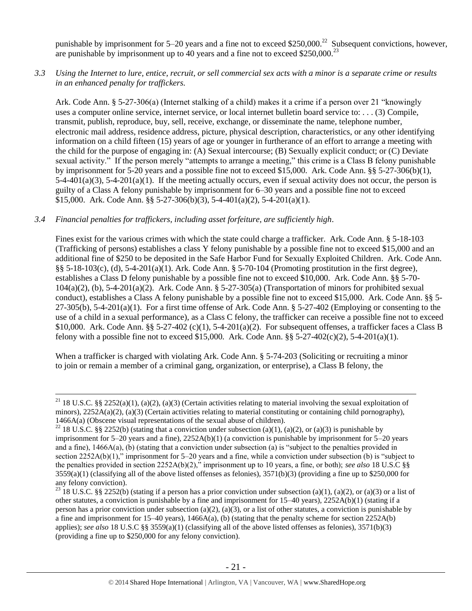punishable by imprisonment for  $5-20$  years and a fine not to exceed \$250,000.<sup>22</sup> Subsequent convictions, however, are punishable by imprisonment up to 40 years and a fine not to exceed  $$250,000.<sup>23</sup>$ 

# *3.3 Using the Internet to lure, entice, recruit, or sell commercial sex acts with a minor is a separate crime or results in an enhanced penalty for traffickers.*

Ark. Code Ann. § 5-27-306(a) (Internet stalking of a child) makes it a crime if a person over 21 "knowingly uses a computer online service, internet service, or local internet bulletin board service to: . . . (3) Compile, transmit, publish, reproduce, buy, sell, receive, exchange, or disseminate the name, telephone number, electronic mail address, residence address, picture, physical description, characteristics, or any other identifying information on a child fifteen (15) years of age or younger in furtherance of an effort to arrange a meeting with the child for the purpose of engaging in: (A) Sexual intercourse; (B) Sexually explicit conduct; or (C) Deviate sexual activity." If the person merely "attempts to arrange a meeting," this crime is a Class B felony punishable by imprisonment for 5-20 years and a possible fine not to exceed \$15,000. Ark. Code Ann. §§ 5-27-306(b)(1),  $5-4-401(a)(3)$ ,  $5-4-201(a)(1)$ . If the meeting actually occurs, even if sexual activity does not occur, the person is guilty of a Class A felony punishable by imprisonment for 6–30 years and a possible fine not to exceed \$15,000. Ark. Code Ann.  $\S$ § 5-27-306(b)(3), 5-4-401(a)(2), 5-4-201(a)(1).

# *3.4 Financial penalties for traffickers, including asset forfeiture, are sufficiently high*.

 $\overline{a}$ 

Fines exist for the various crimes with which the state could charge a trafficker. Ark. Code Ann. § 5-18-103 (Trafficking of persons) establishes a class Y felony punishable by a possible fine not to exceed \$15,000 and an additional fine of \$250 to be deposited in the Safe Harbor Fund for Sexually Exploited Children. Ark. Code Ann. §§ 5-18-103(c), (d), 5-4-201(a)(1). Ark. Code Ann. § 5-70-104 (Promoting prostitution in the first degree), establishes a Class D felony punishable by a possible fine not to exceed \$10,000. Ark. Code Ann. §§ 5-70- 104(a)(2), (b), 5-4-201(a)(2). Ark. Code Ann. § 5-27-305(a) (Transportation of minors for prohibited sexual conduct), establishes a Class A felony punishable by a possible fine not to exceed \$15,000. Ark. Code Ann. §§ 5- 27-305(b), 5-4-201(a)(1). For a first time offense of Ark. Code Ann. § 5-27-402 (Employing or consenting to the use of a child in a sexual performance), as a Class C felony, the trafficker can receive a possible fine not to exceed \$10,000. Ark. Code Ann. §§ 5-27-402 (c)(1), 5-4-201(a)(2). For subsequent offenses, a trafficker faces a Class B felony with a possible fine not to exceed \$15,000. Ark. Code Ann.  $\S$ § 5-27-402(c)(2), 5-4-201(a)(1).

When a trafficker is charged with violating Ark. Code Ann. § 5-74-203 (Soliciting or recruiting a minor to join or remain a member of a criminal gang, organization, or enterprise), a Class B felony, the

<sup>&</sup>lt;sup>21</sup> 18 U.S.C. §§ 2252(a)(1), (a)(2), (a)(3) (Certain activities relating to material involving the sexual exploitation of minors),  $2252A(a)(2)$ , (a)(3) (Certain activities relating to material constituting or containing child pornography), 1466A(a) (Obscene visual representations of the sexual abuse of children).

<sup>&</sup>lt;sup>22</sup> 18 U.S.C. §§ 2252(b) (stating that a conviction under subsection (a)(1), (a)(2), or (a)(3) is punishable by imprisonment for 5–20 years and a fine), 2252A(b)(1) (a conviction is punishable by imprisonment for 5–20 years and a fine), 1466A(a), (b) (stating that a conviction under subsection (a) is "subject to the penalties provided in section 2252A(b)(1)," imprisonment for 5–20 years and a fine, while a conviction under subsection (b) is "subject to the penalties provided in section 2252A(b)(2)," imprisonment up to 10 years, a fine, or both); *see also* 18 U.S.C §§  $3559(a)(1)$  (classifying all of the above listed offenses as felonies),  $3571(b)(3)$  (providing a fine up to \$250,000 for any felony conviction).

<sup>&</sup>lt;sup>23</sup> 18 U.S.C. §§ 2252(b) (stating if a person has a prior conviction under subsection (a)(1), (a)(2), or (a)(3) or a list of other statutes, a conviction is punishable by a fine and imprisonment for 15–40 years), 2252A(b)(1) (stating if a person has a prior conviction under subsection (a)(2), (a)(3), or a list of other statutes, a conviction is punishable by a fine and imprisonment for 15–40 years), 1466A(a), (b) (stating that the penalty scheme for section 2252A(b) applies); *see also* 18 U.S.C §§ 3559(a)(1) (classifying all of the above listed offenses as felonies), 3571(b)(3) (providing a fine up to \$250,000 for any felony conviction).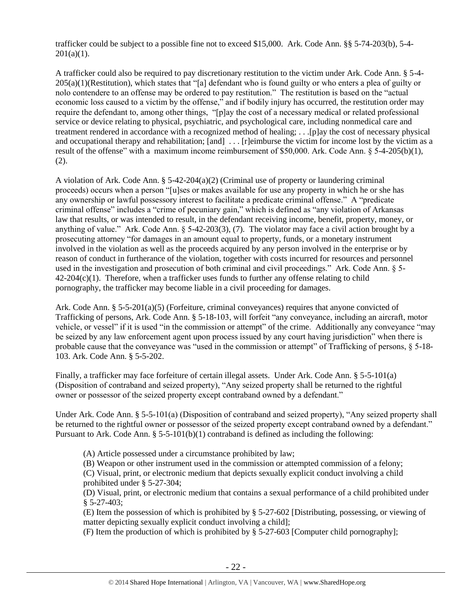trafficker could be subject to a possible fine not to exceed \$15,000. Ark. Code Ann. §§ 5-74-203(b), 5-4-  $201(a)(1)$ .

A trafficker could also be required to pay discretionary restitution to the victim under Ark. Code Ann. § 5-4- 205(a)(1)(Restitution), which states that "[a] defendant who is found guilty or who enters a plea of guilty or nolo contendere to an offense may be ordered to pay restitution." The restitution is based on the "actual economic loss caused to a victim by the offense," and if bodily injury has occurred, the restitution order may require the defendant to, among other things, "[p]ay the cost of a necessary medical or related professional service or device relating to physical, psychiatric, and psychological care, including nonmedical care and treatment rendered in accordance with a recognized method of healing; . . .[p]ay the cost of necessary physical and occupational therapy and rehabilitation; [and] ... [r]eimburse the victim for income lost by the victim as a result of the offense" with a maximum income reimbursement of \$50,000. Ark. Code Ann. § 5-4-205(b)(1), (2).

A violation of Ark. Code Ann.  $\S$  5-42-204(a)(2) (Criminal use of property or laundering criminal proceeds) occurs when a person "[u]ses or makes available for use any property in which he or she has any ownership or lawful possessory interest to facilitate a predicate criminal offense." A "predicate criminal offense" includes a "crime of pecuniary gain," which is defined as "any violation of Arkansas law that results, or was intended to result, in the defendant receiving income, benefit, property, money, or anything of value." Ark. Code Ann. § 5-42-203(3), (7). The violator may face a civil action brought by a prosecuting attorney "for damages in an amount equal to property, funds, or a monetary instrument involved in the violation as well as the proceeds acquired by any person involved in the enterprise or by reason of conduct in furtherance of the violation, together with costs incurred for resources and personnel used in the investigation and prosecution of both criminal and civil proceedings." Ark. Code Ann. § 5-  $42-204(c)(1)$ . Therefore, when a trafficker uses funds to further any offense relating to child pornography, the trafficker may become liable in a civil proceeding for damages.

Ark. Code Ann. § 5-5-201(a)(5) (Forfeiture, criminal conveyances) requires that anyone convicted of Trafficking of persons, Ark. Code Ann. § 5-18-103, will forfeit "any conveyance, including an aircraft, motor vehicle, or vessel" if it is used "in the commission or attempt" of the crime. Additionally any conveyance "may be seized by any law enforcement agent upon process issued by any court having jurisdiction" when there is probable cause that the conveyance was "used in the commission or attempt" of Trafficking of persons, § 5-18- 103. Ark. Code Ann. § 5-5-202.

Finally, a trafficker may face forfeiture of certain illegal assets. Under Ark. Code Ann. § 5-5-101(a) (Disposition of contraband and seized property), "Any seized property shall be returned to the rightful owner or possessor of the seized property except contraband owned by a defendant."

Under Ark. Code Ann. § 5-5-101(a) (Disposition of contraband and seized property), "Any seized property shall be returned to the rightful owner or possessor of the seized property except contraband owned by a defendant." Pursuant to Ark. Code Ann. §  $5-5-101(b)(1)$  contraband is defined as including the following:

(A) Article possessed under a circumstance prohibited by law;

(B) Weapon or other instrument used in the commission or attempted commission of a felony; (C) Visual, print, or electronic medium that depicts sexually explicit conduct involving a child prohibited under § 5-27-304;

(D) Visual, print, or electronic medium that contains a sexual performance of a child prohibited under § 5-27-403;

(E) Item the possession of which is prohibited by § 5-27-602 [Distributing, possessing, or viewing of matter depicting sexually explicit conduct involving a child];

(F) Item the production of which is prohibited by § 5-27-603 [Computer child pornography];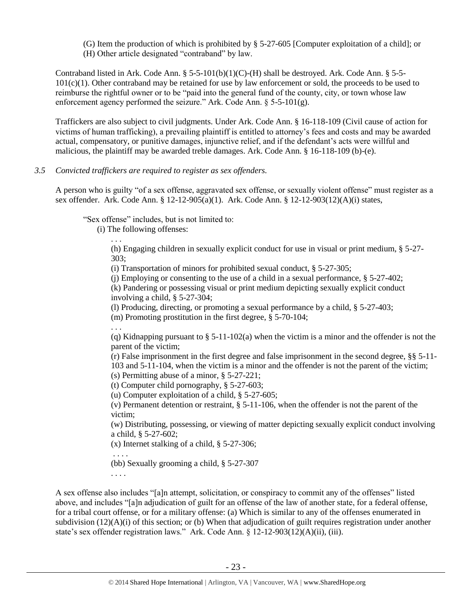(G) Item the production of which is prohibited by § 5-27-605 [Computer exploitation of a child]; or (H) Other article designated "contraband" by law.

Contraband listed in Ark. Code Ann.  $\S$  5-5-101(b)(1)(C)-(H) shall be destroyed. Ark. Code Ann.  $\S$  5-5- $101(c)(1)$ . Other contraband may be retained for use by law enforcement or sold, the proceeds to be used to reimburse the rightful owner or to be "paid into the general fund of the county, city, or town whose law enforcement agency performed the seizure." Ark. Code Ann. § 5-5-101(g).

Traffickers are also subject to civil judgments. Under Ark. Code Ann. § 16-118-109 (Civil cause of action for victims of human trafficking), a prevailing plaintiff is entitled to attorney's fees and costs and may be awarded actual, compensatory, or punitive damages, injunctive relief, and if the defendant's acts were willful and malicious, the plaintiff may be awarded treble damages. Ark. Code Ann. § 16-118-109 (b)-(e).

## *3.5 Convicted traffickers are required to register as sex offenders.*

A person who is guilty "of a sex offense, aggravated sex offense, or sexually violent offense" must register as a sex offender. Ark. Code Ann. § 12-12-905(a)(1). Ark. Code Ann. § 12-12-903(12)(A)(i) states,

"Sex offense" includes, but is not limited to:

(i) The following offenses:

. . .

(h) Engaging children in sexually explicit conduct for use in visual or print medium, § 5-27- 303;

(i) Transportation of minors for prohibited sexual conduct, § 5-27-305;

(i) Employing or consenting to the use of a child in a sexual performance,  $\S$  5-27-402;

(k) Pandering or possessing visual or print medium depicting sexually explicit conduct involving a child, § 5-27-304;

(l) Producing, directing, or promoting a sexual performance by a child, § 5-27-403;

(m) Promoting prostitution in the first degree, § 5-70-104;

. . . (q) Kidnapping pursuant to  $\S$  5-11-102(a) when the victim is a minor and the offender is not the parent of the victim;

(r) False imprisonment in the first degree and false imprisonment in the second degree, §§ 5-11- 103 and 5-11-104, when the victim is a minor and the offender is not the parent of the victim; (s) Permitting abuse of a minor, § 5-27-221;

(t) Computer child pornography, § 5-27-603;

(u) Computer exploitation of a child, § 5-27-605;

(v) Permanent detention or restraint, § 5-11-106, when the offender is not the parent of the victim;

(w) Distributing, possessing, or viewing of matter depicting sexually explicit conduct involving a child, § 5-27-602;

(x) Internet stalking of a child, § 5-27-306;

. . . . (bb) Sexually grooming a child, § 5-27-307

. . . .

A sex offense also includes "[a]n attempt, solicitation, or conspiracy to commit any of the offenses" listed above, and includes "[a]n adjudication of guilt for an offense of the law of another state, for a federal offense, for a tribal court offense, or for a military offense: (a) Which is similar to any of the offenses enumerated in subdivision (12)(A)(i) of this section; or (b) When that adjudication of guilt requires registration under another state's sex offender registration laws." Ark. Code Ann. § 12-12-903(12)(A)(ii), (iii).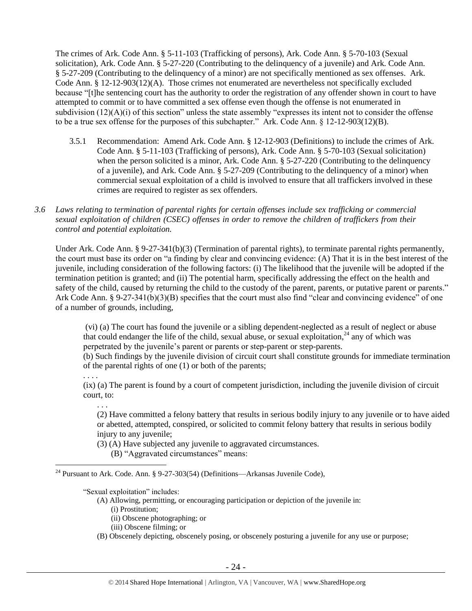The crimes of Ark. Code Ann. § 5-11-103 (Trafficking of persons), Ark. Code Ann. § 5-70-103 (Sexual solicitation), Ark. Code Ann. § 5-27-220 (Contributing to the delinquency of a juvenile) and Ark. Code Ann. § 5-27-209 (Contributing to the delinquency of a minor) are not specifically mentioned as sex offenses. Ark. Code Ann. § 12-12-903(12)(A). Those crimes not enumerated are nevertheless not specifically excluded because "[t]he sentencing court has the authority to order the registration of any offender shown in court to have attempted to commit or to have committed a sex offense even though the offense is not enumerated in subdivision (12)(A)(i) of this section" unless the state assembly "expresses its intent not to consider the offense to be a true sex offense for the purposes of this subchapter." Ark. Code Ann. § 12-12-903(12)(B).

- 3.5.1 Recommendation: Amend Ark. Code Ann. § 12-12-903 (Definitions) to include the crimes of Ark. Code Ann. § 5-11-103 (Trafficking of persons), Ark. Code Ann. § 5-70-103 (Sexual solicitation) when the person solicited is a minor, Ark. Code Ann. § 5-27-220 (Contributing to the delinquency of a juvenile), and Ark. Code Ann. § 5-27-209 (Contributing to the delinquency of a minor) when commercial sexual exploitation of a child is involved to ensure that all traffickers involved in these crimes are required to register as sex offenders.
- *3.6 Laws relating to termination of parental rights for certain offenses include sex trafficking or commercial sexual exploitation of children (CSEC) offenses in order to remove the children of traffickers from their control and potential exploitation.*

Under Ark. Code Ann. § 9-27-341(b)(3) (Termination of parental rights), to terminate parental rights permanently, the court must base its order on "a finding by clear and convincing evidence: (A) That it is in the best interest of the juvenile, including consideration of the following factors: (i) The likelihood that the juvenile will be adopted if the termination petition is granted; and (ii) The potential harm, specifically addressing the effect on the health and safety of the child, caused by returning the child to the custody of the parent, parents, or putative parent or parents." Ark Code Ann. § 9-27-341(b)(3)(B) specifies that the court must also find "clear and convincing evidence" of one of a number of grounds, including,

(vi) (a) The court has found the juvenile or a sibling dependent-neglected as a result of neglect or abuse that could endanger the life of the child, sexual abuse, or sexual exploitation, $^{24}$  any of which was perpetrated by the juvenile's parent or parents or step-parent or step-parents.

(b) Such findings by the juvenile division of circuit court shall constitute grounds for immediate termination of the parental rights of one (1) or both of the parents;

. . . .

 $\overline{a}$ 

(ix) (a) The parent is found by a court of competent jurisdiction, including the juvenile division of circuit court, to:

. . . (2) Have committed a felony battery that results in serious bodily injury to any juvenile or to have aided or abetted, attempted, conspired, or solicited to commit felony battery that results in serious bodily injury to any juvenile:

(3) (A) Have subjected any juvenile to aggravated circumstances.

(B) "Aggravated circumstances" means:

<sup>24</sup> Pursuant to Ark. Code. Ann. § 9-27-303(54) (Definitions—Arkansas Juvenile Code),

"Sexual exploitation" includes:

- (A) Allowing, permitting, or encouraging participation or depiction of the juvenile in:
	- (i) Prostitution;
	- (ii) Obscene photographing; or
	- (iii) Obscene filming; or
- (B) Obscenely depicting, obscenely posing, or obscenely posturing a juvenile for any use or purpose;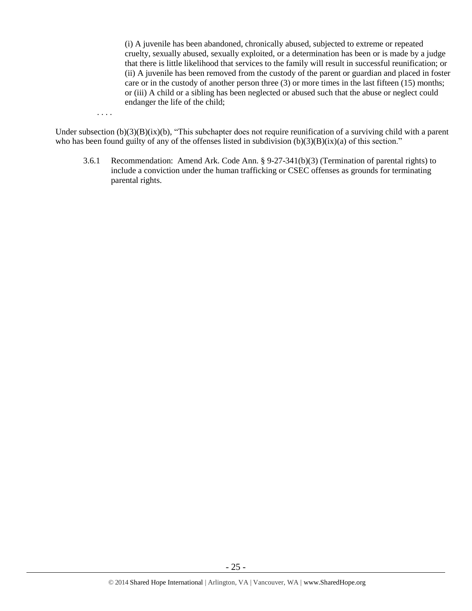(i) A juvenile has been abandoned, chronically abused, subjected to extreme or repeated cruelty, sexually abused, sexually exploited, or a determination has been or is made by a judge that there is little likelihood that services to the family will result in successful reunification; or (ii) A juvenile has been removed from the custody of the parent or guardian and placed in foster care or in the custody of another person three (3) or more times in the last fifteen (15) months; or (iii) A child or a sibling has been neglected or abused such that the abuse or neglect could endanger the life of the child;

. . . .

Under subsection (b)(3)(B)(ix)(b), "This subchapter does not require reunification of a surviving child with a parent who has been found guilty of any of the offenses listed in subdivision  $(b)(3)(B)(ix)(a)$  of this section."

3.6.1 Recommendation: Amend Ark. Code Ann. § 9-27-341(b)(3) (Termination of parental rights) to include a conviction under the human trafficking or CSEC offenses as grounds for terminating parental rights.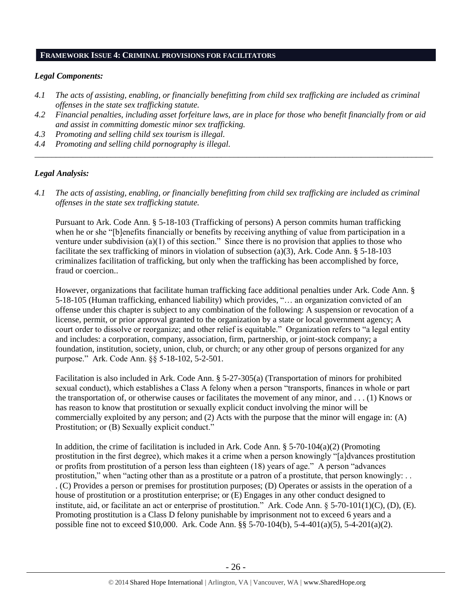## **FRAMEWORK ISSUE 4: CRIMINAL PROVISIONS FOR FACILITATORS**

# *Legal Components:*

- *4.1 The acts of assisting, enabling, or financially benefitting from child sex trafficking are included as criminal offenses in the state sex trafficking statute.*
- *4.2 Financial penalties, including asset forfeiture laws, are in place for those who benefit financially from or aid and assist in committing domestic minor sex trafficking.*

*\_\_\_\_\_\_\_\_\_\_\_\_\_\_\_\_\_\_\_\_\_\_\_\_\_\_\_\_\_\_\_\_\_\_\_\_\_\_\_\_\_\_\_\_\_\_\_\_\_\_\_\_\_\_\_\_\_\_\_\_\_\_\_\_\_\_\_\_\_\_\_\_\_\_\_\_\_\_\_\_\_\_\_\_\_\_\_\_\_\_\_\_\_\_*

- *4.3 Promoting and selling child sex tourism is illegal.*
- *4.4 Promoting and selling child pornography is illegal.*

# *Legal Analysis:*

*4.1 The acts of assisting, enabling, or financially benefitting from child sex trafficking are included as criminal offenses in the state sex trafficking statute.*

Pursuant to Ark. Code Ann. § 5-18-103 (Trafficking of persons) A person commits human trafficking when he or she "[b]enefits financially or benefits by receiving anything of value from participation in a venture under subdivision (a)(1) of this section." Since there is no provision that applies to those who facilitate the sex trafficking of minors in violation of subsection (a)(3), Ark. Code Ann. § 5-18-103 criminalizes facilitation of trafficking, but only when the trafficking has been accomplished by force, fraud or coercion..

However, organizations that facilitate human trafficking face additional penalties under Ark. Code Ann. § 5-18-105 (Human trafficking, enhanced liability) which provides, "… an organization convicted of an offense under this chapter is subject to any combination of the following: A suspension or revocation of a license, permit, or prior approval granted to the organization by a state or local government agency; A court order to dissolve or reorganize; and other relief is equitable." Organization refers to "a legal entity and includes: a corporation, company, association, firm, partnership, or joint-stock company; a foundation, institution, society, union, club, or church; or any other group of persons organized for any purpose." Ark. Code Ann. §§ 5-18-102, 5-2-501.

Facilitation is also included in Ark. Code Ann. § 5-27-305(a) (Transportation of minors for prohibited sexual conduct), which establishes a Class A felony when a person "transports, finances in whole or part the transportation of, or otherwise causes or facilitates the movement of any minor, and . . . (1) Knows or has reason to know that prostitution or sexually explicit conduct involving the minor will be commercially exploited by any person; and (2) Acts with the purpose that the minor will engage in: (A) Prostitution; or (B) Sexually explicit conduct."

In addition, the crime of facilitation is included in Ark. Code Ann.  $\S$  5-70-104(a)(2) (Promoting prostitution in the first degree), which makes it a crime when a person knowingly "[a]dvances prostitution or profits from prostitution of a person less than eighteen (18) years of age." A person "advances prostitution," when "acting other than as a prostitute or a patron of a prostitute, that person knowingly: . . . (C) Provides a person or premises for prostitution purposes; (D) Operates or assists in the operation of a house of prostitution or a prostitution enterprise; or (E) Engages in any other conduct designed to institute, aid, or facilitate an act or enterprise of prostitution." Ark. Code Ann. § 5-70-101(1)(C), (D), (E). Promoting prostitution is a Class D felony punishable by imprisonment not to exceed 6 years and a possible fine not to exceed \$10,000. Ark. Code Ann. §§ 5-70-104(b), 5-4-401(a)(5), 5-4-201(a)(2).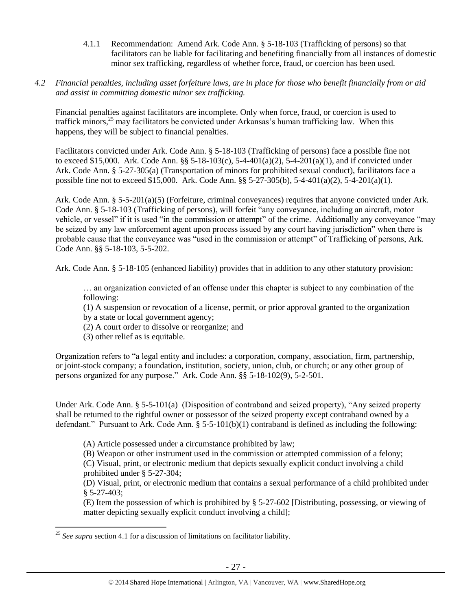4.1.1 Recommendation: Amend Ark. Code Ann. § 5-18-103 (Trafficking of persons) so that facilitators can be liable for facilitating and benefiting financially from all instances of domestic minor sex trafficking, regardless of whether force, fraud, or coercion has been used.

# *4.2 Financial penalties, including asset forfeiture laws, are in place for those who benefit financially from or aid and assist in committing domestic minor sex trafficking.*

Financial penalties against facilitators are incomplete. Only when force, fraud, or coercion is used to traffick minors, <sup>25</sup> may facilitators be convicted under Arkansas's human trafficking law. When this happens, they will be subject to financial penalties.

Facilitators convicted under Ark. Code Ann. § 5-18-103 (Trafficking of persons) face a possible fine not to exceed \$15,000. Ark. Code Ann. §§ 5-18-103(c), 5-4-401(a)(2), 5-4-201(a)(1), and if convicted under Ark. Code Ann. § 5-27-305(a) (Transportation of minors for prohibited sexual conduct), facilitators face a possible fine not to exceed \$15,000. Ark. Code Ann. §§ 5-27-305(b), 5-4-401(a)(2), 5-4-201(a)(1).

Ark. Code Ann. § 5-5-201(a)(5) (Forfeiture, criminal conveyances) requires that anyone convicted under Ark. Code Ann. § 5-18-103 (Trafficking of persons), will forfeit "any conveyance, including an aircraft, motor vehicle, or vessel" if it is used "in the commission or attempt" of the crime. Additionally any conveyance "may be seized by any law enforcement agent upon process issued by any court having jurisdiction" when there is probable cause that the conveyance was "used in the commission or attempt" of Trafficking of persons, Ark. Code Ann. §§ 5-18-103, 5-5-202.

Ark. Code Ann. § 5-18-105 (enhanced liability) provides that in addition to any other statutory provision:

… an organization convicted of an offense under this chapter is subject to any combination of the following:

(1) A suspension or revocation of a license, permit, or prior approval granted to the organization by a state or local government agency;

(2) A court order to dissolve or reorganize; and

(3) other relief as is equitable.

 $\overline{a}$ 

Organization refers to "a legal entity and includes: a corporation, company, association, firm, partnership, or joint-stock company; a foundation, institution, society, union, club, or church; or any other group of persons organized for any purpose." Ark. Code Ann. §§ 5-18-102(9), 5-2-501.

Under Ark. Code Ann. § 5-5-101(a) (Disposition of contraband and seized property), "Any seized property shall be returned to the rightful owner or possessor of the seized property except contraband owned by a defendant." Pursuant to Ark. Code Ann. § 5-5-101(b)(1) contraband is defined as including the following:

(A) Article possessed under a circumstance prohibited by law;

(B) Weapon or other instrument used in the commission or attempted commission of a felony;

(C) Visual, print, or electronic medium that depicts sexually explicit conduct involving a child prohibited under § 5-27-304;

(D) Visual, print, or electronic medium that contains a sexual performance of a child prohibited under § 5-27-403;

(E) Item the possession of which is prohibited by § 5-27-602 [Distributing, possessing, or viewing of matter depicting sexually explicit conduct involving a child];

<sup>&</sup>lt;sup>25</sup> See supra section 4.1 for a discussion of limitations on facilitator liability.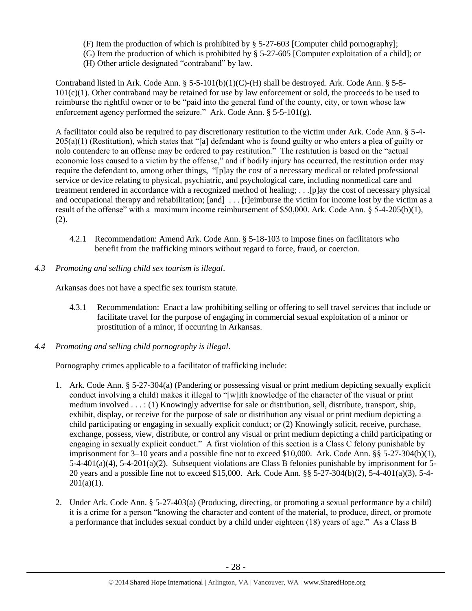- (F) Item the production of which is prohibited by § 5-27-603 [Computer child pornography];
- (G) Item the production of which is prohibited by § 5-27-605 [Computer exploitation of a child]; or
- (H) Other article designated "contraband" by law.

Contraband listed in Ark. Code Ann.  $\S$  5-5-101(b)(1)(C)-(H) shall be destroyed. Ark. Code Ann.  $\S$  5-5-101(c)(1). Other contraband may be retained for use by law enforcement or sold, the proceeds to be used to reimburse the rightful owner or to be "paid into the general fund of the county, city, or town whose law enforcement agency performed the seizure." Ark. Code Ann. § 5-5-101(g).

A facilitator could also be required to pay discretionary restitution to the victim under Ark. Code Ann. § 5-4- 205(a)(1) (Restitution), which states that "[a] defendant who is found guilty or who enters a plea of guilty or nolo contendere to an offense may be ordered to pay restitution." The restitution is based on the "actual economic loss caused to a victim by the offense," and if bodily injury has occurred, the restitution order may require the defendant to, among other things, "[p]ay the cost of a necessary medical or related professional service or device relating to physical, psychiatric, and psychological care, including nonmedical care and treatment rendered in accordance with a recognized method of healing; . . .[p]ay the cost of necessary physical and occupational therapy and rehabilitation; [and] ... [r]eimburse the victim for income lost by the victim as a result of the offense" with a maximum income reimbursement of \$50,000. Ark. Code Ann. § 5-4-205(b)(1), (2).

- 4.2.1 Recommendation: Amend Ark. Code Ann. § 5-18-103 to impose fines on facilitators who benefit from the trafficking minors without regard to force, fraud, or coercion.
- *4.3 Promoting and selling child sex tourism is illegal*.

Arkansas does not have a specific sex tourism statute.

- 4.3.1 Recommendation: Enact a law prohibiting selling or offering to sell travel services that include or facilitate travel for the purpose of engaging in commercial sexual exploitation of a minor or prostitution of a minor, if occurring in Arkansas.
- *4.4 Promoting and selling child pornography is illegal*.

Pornography crimes applicable to a facilitator of trafficking include:

- 1. Ark. Code Ann. § 5-27-304(a) (Pandering or possessing visual or print medium depicting sexually explicit conduct involving a child) makes it illegal to "[w]ith knowledge of the character of the visual or print medium involved . . . : (1) Knowingly advertise for sale or distribution, sell, distribute, transport, ship, exhibit, display, or receive for the purpose of sale or distribution any visual or print medium depicting a child participating or engaging in sexually explicit conduct; or (2) Knowingly solicit, receive, purchase, exchange, possess, view, distribute, or control any visual or print medium depicting a child participating or engaging in sexually explicit conduct." A first violation of this section is a Class C felony punishable by imprisonment for 3–10 years and a possible fine not to exceed \$10,000. Ark. Code Ann. §§ 5-27-304(b)(1), 5-4-401(a)(4), 5-4-201(a)(2). Subsequent violations are Class B felonies punishable by imprisonment for 5- 20 years and a possible fine not to exceed \$15,000. Ark. Code Ann. §§ 5-27-304(b)(2), 5-4-401(a)(3), 5-4-  $201(a)(1)$ .
- 2. Under Ark. Code Ann. § 5-27-403(a) (Producing, directing, or promoting a sexual performance by a child) it is a crime for a person "knowing the character and content of the material, to produce, direct, or promote a performance that includes sexual conduct by a child under eighteen (18) years of age." As a Class B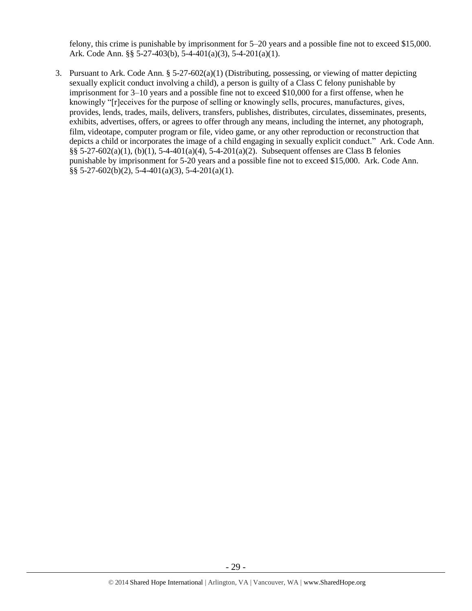felony, this crime is punishable by imprisonment for 5–20 years and a possible fine not to exceed \$15,000. Ark. Code Ann. §§ 5-27-403(b), 5-4-401(a)(3), 5-4-201(a)(1).

3. Pursuant to Ark. Code Ann. § 5-27-602(a)(1) (Distributing, possessing, or viewing of matter depicting sexually explicit conduct involving a child), a person is guilty of a Class C felony punishable by imprisonment for 3–10 years and a possible fine not to exceed \$10,000 for a first offense, when he knowingly "[r]eceives for the purpose of selling or knowingly sells, procures, manufactures, gives, provides, lends, trades, mails, delivers, transfers, publishes, distributes, circulates, disseminates, presents, exhibits, advertises, offers, or agrees to offer through any means, including the internet, any photograph, film, videotape, computer program or file, video game, or any other reproduction or reconstruction that depicts a child or incorporates the image of a child engaging in sexually explicit conduct." Ark. Code Ann. §§ 5-27-602(a)(1), (b)(1), 5-4-401(a)(4), 5-4-201(a)(2). Subsequent offenses are Class B felonies punishable by imprisonment for 5-20 years and a possible fine not to exceed \$15,000. Ark. Code Ann.  $\S$ § 5-27-602(b)(2), 5-4-401(a)(3), 5-4-201(a)(1).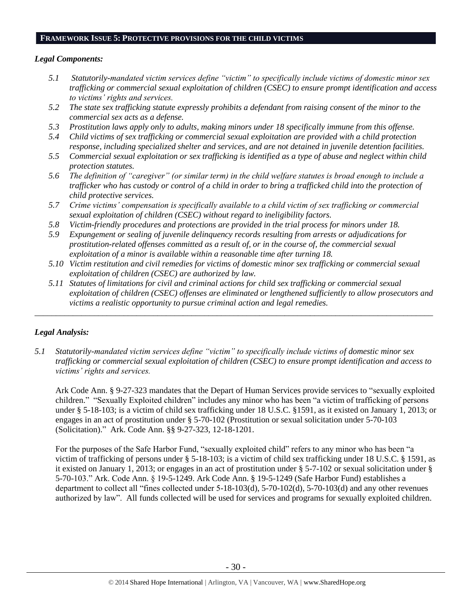## **FRAMEWORK ISSUE 5: PROTECTIVE PROVISIONS FOR THE CHILD VICTIMS**

## *Legal Components:*

- *5.1 Statutorily-mandated victim services define "victim" to specifically include victims of domestic minor sex trafficking or commercial sexual exploitation of children (CSEC) to ensure prompt identification and access to victims' rights and services.*
- *5.2 The state sex trafficking statute expressly prohibits a defendant from raising consent of the minor to the commercial sex acts as a defense.*
- *5.3 Prostitution laws apply only to adults, making minors under 18 specifically immune from this offense.*
- *5.4 Child victims of sex trafficking or commercial sexual exploitation are provided with a child protection response, including specialized shelter and services, and are not detained in juvenile detention facilities.*
- *5.5 Commercial sexual exploitation or sex trafficking is identified as a type of abuse and neglect within child protection statutes.*
- *5.6 The definition of "caregiver" (or similar term) in the child welfare statutes is broad enough to include a trafficker who has custody or control of a child in order to bring a trafficked child into the protection of child protective services.*
- *5.7 Crime victims' compensation is specifically available to a child victim of sex trafficking or commercial sexual exploitation of children (CSEC) without regard to ineligibility factors.*
- *5.8 Victim-friendly procedures and protections are provided in the trial process for minors under 18.*
- *5.9 Expungement or sealing of juvenile delinquency records resulting from arrests or adjudications for prostitution-related offenses committed as a result of, or in the course of, the commercial sexual exploitation of a minor is available within a reasonable time after turning 18.*
- *5.10 Victim restitution and civil remedies for victims of domestic minor sex trafficking or commercial sexual exploitation of children (CSEC) are authorized by law.*

*\_\_\_\_\_\_\_\_\_\_\_\_\_\_\_\_\_\_\_\_\_\_\_\_\_\_\_\_\_\_\_\_\_\_\_\_\_\_\_\_\_\_\_\_\_\_\_\_\_\_\_\_\_\_\_\_\_\_\_\_\_\_\_\_\_\_\_\_\_\_\_\_\_\_\_\_\_\_\_\_\_\_\_\_\_\_\_\_\_\_\_\_\_\_*

*5.11 Statutes of limitations for civil and criminal actions for child sex trafficking or commercial sexual exploitation of children (CSEC) offenses are eliminated or lengthened sufficiently to allow prosecutors and victims a realistic opportunity to pursue criminal action and legal remedies.*

# *Legal Analysis:*

*5.1 Statutorily-mandated victim services define "victim" to specifically include victims of domestic minor sex trafficking or commercial sexual exploitation of children (CSEC) to ensure prompt identification and access to victims' rights and services.* 

Ark Code Ann. § 9-27-323 mandates that the Depart of Human Services provide services to "sexually exploited children." "Sexually Exploited children" includes any minor who has been "a victim of trafficking of persons under § 5-18-103; is a victim of child sex trafficking under 18 U.S.C. §1591, as it existed on January 1, 2013; or engages in an act of prostitution under § 5-70-102 (Prostitution or sexual solicitation under 5-70-103 (Solicitation)." Ark. Code Ann. §§ 9-27-323, 12-18-1201.

For the purposes of the Safe Harbor Fund, "sexually exploited child" refers to any minor who has been "a victim of trafficking of persons under § 5-18-103; is a victim of child sex trafficking under 18 U.S.C. § 1591, as it existed on January 1, 2013; or engages in an act of prostitution under § 5-7-102 or sexual solicitation under § 5-70-103." Ark. Code Ann. § 19-5-1249. Ark Code Ann. § 19-5-1249 (Safe Harbor Fund) establishes a department to collect all "fines collected under 5-18-103(d), 5-70-102(d), 5-70-103(d) and any other revenues authorized by law". All funds collected will be used for services and programs for sexually exploited children.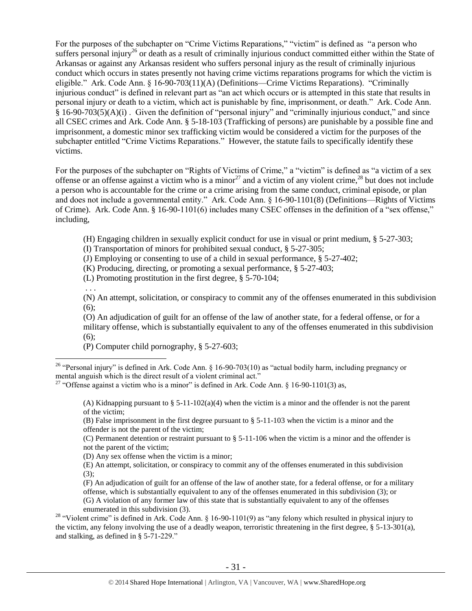For the purposes of the subchapter on "Crime Victims Reparations," "victim" is defined as "a person who suffers personal injury<sup>26</sup> or death as a result of criminally injurious conduct committed either within the State of Arkansas or against any Arkansas resident who suffers personal injury as the result of criminally injurious conduct which occurs in states presently not having crime victims reparations programs for which the victim is eligible." Ark. Code Ann. § 16-90-703(11)(A) (Definitions—Crime Victims Reparations). "Criminally injurious conduct" is defined in relevant part as "an act which occurs or is attempted in this state that results in personal injury or death to a victim, which act is punishable by fine, imprisonment, or death." Ark. Code Ann. § 16-90-703(5)(A)(i) . Given the definition of "personal injury" and "criminally injurious conduct," and since all CSEC crimes and Ark. Code Ann. § 5-18-103 (Trafficking of persons) are punishable by a possible fine and imprisonment, a domestic minor sex trafficking victim would be considered a victim for the purposes of the subchapter entitled "Crime Victims Reparations." However, the statute fails to specifically identify these victims.

For the purposes of the subchapter on "Rights of Victims of Crime," a "victim" is defined as "a victim of a sex offense or an offense against a victim who is a minor<sup>27</sup> and a victim of any violent crime,<sup>28</sup> but does not include a person who is accountable for the crime or a crime arising from the same conduct, criminal episode, or plan and does not include a governmental entity." Ark. Code Ann. § 16-90-1101(8) (Definitions—Rights of Victims of Crime). Ark. Code Ann. § 16-90-1101(6) includes many CSEC offenses in the definition of a "sex offense," including,

(H) Engaging children in sexually explicit conduct for use in visual or print medium, § 5-27-303;

(I) Transportation of minors for prohibited sexual conduct, § 5-27-305;

(J) Employing or consenting to use of a child in sexual performance, § 5-27-402;

(K) Producing, directing, or promoting a sexual performance, § 5-27-403;

(L) Promoting prostitution in the first degree, § 5-70-104;

. . .

 $\overline{a}$ 

(N) An attempt, solicitation, or conspiracy to commit any of the offenses enumerated in this subdivision (6);

(O) An adjudication of guilt for an offense of the law of another state, for a federal offense, or for a military offense, which is substantially equivalent to any of the offenses enumerated in this subdivision  $(6)$ :

(P) Computer child pornography, § 5-27-603;

(A) Kidnapping pursuant to  $\S 5-11-102(a)(4)$  when the victim is a minor and the offender is not the parent of the victim;

(B) False imprisonment in the first degree pursuant to § 5-11-103 when the victim is a minor and the offender is not the parent of the victim;

(C) Permanent detention or restraint pursuant to § 5-11-106 when the victim is a minor and the offender is not the parent of the victim;

(D) Any sex offense when the victim is a minor;

(E) An attempt, solicitation, or conspiracy to commit any of the offenses enumerated in this subdivision  $(3)$ ;

(F) An adjudication of guilt for an offense of the law of another state, for a federal offense, or for a military offense, which is substantially equivalent to any of the offenses enumerated in this subdivision (3); or

(G) A violation of any former law of this state that is substantially equivalent to any of the offenses enumerated in this subdivision (3).

<sup>28</sup> "Violent crime" is defined in Ark. Code Ann. § 16-90-1101(9) as "any felony which resulted in physical injury to the victim, any felony involving the use of a deadly weapon, terroristic threatening in the first degree, § 5-13-301(a), and stalking, as defined in § 5-71-229."

<sup>&</sup>lt;sup>26</sup> "Personal injury" is defined in Ark. Code Ann. § 16-90-703(10) as "actual bodily harm, including pregnancy or mental anguish which is the direct result of a violent criminal act."

<sup>&</sup>lt;sup>27</sup> "Offense against a victim who is a minor" is defined in Ark. Code Ann. § 16-90-1101(3) as,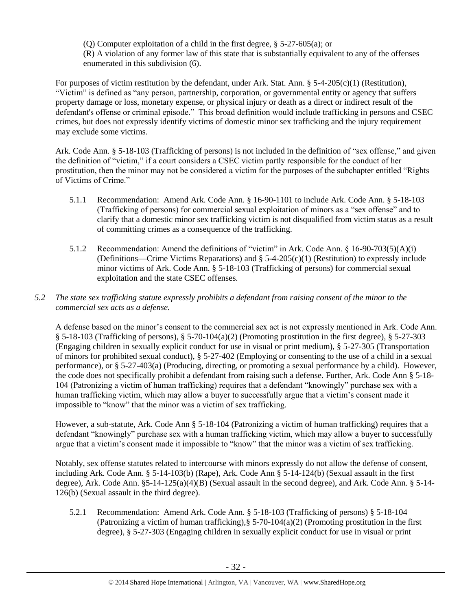(Q) Computer exploitation of a child in the first degree, § 5-27-605(a); or (R) A violation of any former law of this state that is substantially equivalent to any of the offenses enumerated in this subdivision (6).

For purposes of victim restitution by the defendant, under Ark. Stat. Ann.  $\S$  5-4-205(c)(1) (Restitution), "Victim" is defined as "any person, partnership, corporation, or governmental entity or agency that suffers property damage or loss, monetary expense, or physical injury or death as a direct or indirect result of the defendant's offense or criminal episode." This broad definition would include trafficking in persons and CSEC crimes, but does not expressly identify victims of domestic minor sex trafficking and the injury requirement may exclude some victims.

Ark. Code Ann. § 5-18-103 (Trafficking of persons) is not included in the definition of "sex offense," and given the definition of "victim," if a court considers a CSEC victim partly responsible for the conduct of her prostitution, then the minor may not be considered a victim for the purposes of the subchapter entitled "Rights of Victims of Crime."

- 5.1.1 Recommendation: Amend Ark. Code Ann. § 16-90-1101 to include Ark. Code Ann. § 5-18-103 (Trafficking of persons) for commercial sexual exploitation of minors as a "sex offense" and to clarify that a domestic minor sex trafficking victim is not disqualified from victim status as a result of committing crimes as a consequence of the trafficking.
- 5.1.2 Recommendation: Amend the definitions of "victim" in Ark. Code Ann. § 16-90-703(5)(A)(i) (Definitions—Crime Victims Reparations) and  $\S$  5-4-205(c)(1) (Restitution) to expressly include minor victims of Ark. Code Ann. § 5-18-103 (Trafficking of persons) for commercial sexual exploitation and the state CSEC offenses.

# *5.2 The state sex trafficking statute expressly prohibits a defendant from raising consent of the minor to the commercial sex acts as a defense.*

A defense based on the minor's consent to the commercial sex act is not expressly mentioned in Ark. Code Ann.  $§ 5-18-103$  (Trafficking of persons),  $§ 5-70-104(a)(2)$  (Promoting prostitution in the first degree),  $§ 5-27-303$ (Engaging children in sexually explicit conduct for use in visual or print medium), § 5-27-305 (Transportation of minors for prohibited sexual conduct), § 5-27-402 (Employing or consenting to the use of a child in a sexual performance), or § 5-27-403(a) (Producing, directing, or promoting a sexual performance by a child). However, the code does not specifically prohibit a defendant from raising such a defense. Further, Ark. Code Ann § 5-18- 104 (Patronizing a victim of human trafficking) requires that a defendant "knowingly" purchase sex with a human trafficking victim, which may allow a buyer to successfully argue that a victim's consent made it impossible to "know" that the minor was a victim of sex trafficking.

However, a sub-statute, Ark. Code Ann § 5-18-104 (Patronizing a victim of human trafficking) requires that a defendant "knowingly" purchase sex with a human trafficking victim, which may allow a buyer to successfully argue that a victim's consent made it impossible to "know" that the minor was a victim of sex trafficking.

Notably, sex offense statutes related to intercourse with minors expressly do not allow the defense of consent, including Ark. Code Ann. § 5-14-103(b) (Rape), Ark. Code Ann § 5-14-124(b) (Sexual assault in the first degree), Ark. Code Ann. §5-14-125(a)(4)(B) (Sexual assault in the second degree), and Ark. Code Ann. § 5-14- 126(b) (Sexual assault in the third degree).

5.2.1 Recommendation: Amend Ark. Code Ann. § 5-18-103 (Trafficking of persons) § 5-18-104 (Patronizing a victim of human trafficking),§ 5-70-104(a)(2) (Promoting prostitution in the first degree), § 5-27-303 (Engaging children in sexually explicit conduct for use in visual or print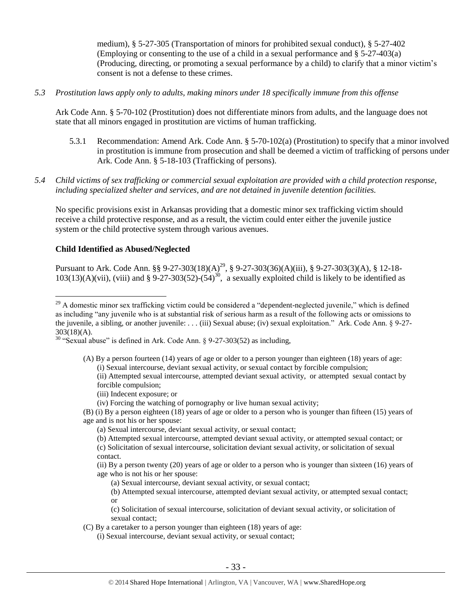medium), § 5-27-305 (Transportation of minors for prohibited sexual conduct), § 5-27-402 (Employing or consenting to the use of a child in a sexual performance and § 5-27-403(a) (Producing, directing, or promoting a sexual performance by a child) to clarify that a minor victim's consent is not a defense to these crimes.

*5.3 Prostitution laws apply only to adults, making minors under 18 specifically immune from this offense*

Ark Code Ann. § 5-70-102 (Prostitution) does not differentiate minors from adults, and the language does not state that all minors engaged in prostitution are victims of human trafficking.

- 5.3.1 Recommendation: Amend Ark. Code Ann. § 5-70-102(a) (Prostitution) to specify that a minor involved in prostitution is immune from prosecution and shall be deemed a victim of trafficking of persons under Ark. Code Ann. § 5-18-103 (Trafficking of persons).
- *5.4 Child victims of sex trafficking or commercial sexual exploitation are provided with a child protection response, including specialized shelter and services, and are not detained in juvenile detention facilities.*

No specific provisions exist in Arkansas providing that a domestic minor sex trafficking victim should receive a child protective response, and as a result, the victim could enter either the juvenile justice system or the child protective system through various avenues.

# **Child Identified as Abused/Neglected**

 $\overline{a}$ 

Pursuant to Ark. Code Ann. §§ 9-27-303(18)(A)<sup>29</sup>, § 9-27-303(36)(A)(iii), § 9-27-303(3)(A), § 12-18- $103(13)(A)(vii)$ , (viii) and § 9-27-303(52)-(54)<sup>30</sup>, a sexually exploited child is likely to be identified as

(iii) Indecent exposure; or

- (B) (i) By a person eighteen (18) years of age or older to a person who is younger than fifteen (15) years of age and is not his or her spouse:
	- (a) Sexual intercourse, deviant sexual activity, or sexual contact;
	- (b) Attempted sexual intercourse, attempted deviant sexual activity, or attempted sexual contact; or (c) Solicitation of sexual intercourse, solicitation deviant sexual activity, or solicitation of sexual contact.
	- (ii) By a person twenty (20) years of age or older to a person who is younger than sixteen (16) years of age who is not his or her spouse:
		- (a) Sexual intercourse, deviant sexual activity, or sexual contact;
		- (b) Attempted sexual intercourse, attempted deviant sexual activity, or attempted sexual contact; or

(c) Solicitation of sexual intercourse, solicitation of deviant sexual activity, or solicitation of sexual contact;

- (C) By a caretaker to a person younger than eighteen (18) years of age:
	- (i) Sexual intercourse, deviant sexual activity, or sexual contact;

<sup>&</sup>lt;sup>29</sup> A domestic minor sex trafficking victim could be considered a "dependent-neglected juvenile," which is defined as including "any juvenile who is at substantial risk of serious harm as a result of the following acts or omissions to the juvenile, a sibling, or another juvenile: . . . (iii) Sexual abuse; (iv) sexual exploitation." Ark. Code Ann. § 9-27-  $303(18)(A)$ .

<sup>30</sup> "Sexual abuse" is defined in Ark. Code Ann. § 9-27-303(52) as including,

<sup>(</sup>A) By a person fourteen (14) years of age or older to a person younger than eighteen (18) years of age: (i) Sexual intercourse, deviant sexual activity, or sexual contact by forcible compulsion;

<sup>(</sup>ii) Attempted sexual intercourse, attempted deviant sexual activity, or attempted sexual contact by forcible compulsion;

<sup>(</sup>iv) Forcing the watching of pornography or live human sexual activity;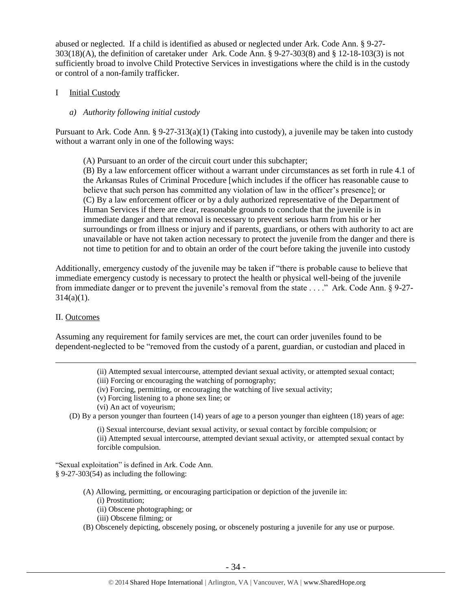abused or neglected. If a child is identified as abused or neglected under Ark. Code Ann. § 9-27- 303(18)(A), the definition of caretaker under Ark. Code Ann. § 9-27-303(8) and § 12-18-103(3) is not sufficiently broad to involve Child Protective Services in investigations where the child is in the custody or control of a non-family trafficker.

## I Initial Custody

## *a) Authority following initial custody*

Pursuant to Ark. Code Ann. § 9-27-313(a)(1) (Taking into custody), a juvenile may be taken into custody without a warrant only in one of the following ways:

(A) Pursuant to an order of the circuit court under this subchapter;

(B) By a law enforcement officer without a warrant under circumstances as set forth in rule 4.1 of the Arkansas Rules of Criminal Procedure [which includes if the officer has reasonable cause to believe that such person has committed any violation of law in the officer's presence]; or (C) By a law enforcement officer or by a duly authorized representative of the Department of Human Services if there are clear, reasonable grounds to conclude that the juvenile is in immediate danger and that removal is necessary to prevent serious harm from his or her surroundings or from illness or injury and if parents, guardians, or others with authority to act are unavailable or have not taken action necessary to protect the juvenile from the danger and there is not time to petition for and to obtain an order of the court before taking the juvenile into custody

Additionally, emergency custody of the juvenile may be taken if "there is probable cause to believe that immediate emergency custody is necessary to protect the health or physical well-being of the juvenile from immediate danger or to prevent the juvenile's removal from the state . . . ." Ark. Code Ann. § 9-27-  $314(a)(1)$ .

#### II. Outcomes

 $\overline{a}$ 

Assuming any requirement for family services are met, the court can order juveniles found to be dependent-neglected to be "removed from the custody of a parent, guardian, or custodian and placed in

- (ii) Attempted sexual intercourse, attempted deviant sexual activity, or attempted sexual contact;
- (iii) Forcing or encouraging the watching of pornography;
- (iv) Forcing, permitting, or encouraging the watching of live sexual activity;
- (v) Forcing listening to a phone sex line; or
- (vi) An act of voyeurism;

(D) By a person younger than fourteen (14) years of age to a person younger than eighteen (18) years of age:

(i) Sexual intercourse, deviant sexual activity, or sexual contact by forcible compulsion; or (ii) Attempted sexual intercourse, attempted deviant sexual activity, or attempted sexual contact by forcible compulsion.

"Sexual exploitation" is defined in Ark. Code Ann. § 9-27-303(54) as including the following:

- (A) Allowing, permitting, or encouraging participation or depiction of the juvenile in: (i) Prostitution;
	- (ii) Obscene photographing; or
	- (iii) Obscene filming; or
- (B) Obscenely depicting, obscenely posing, or obscenely posturing a juvenile for any use or purpose.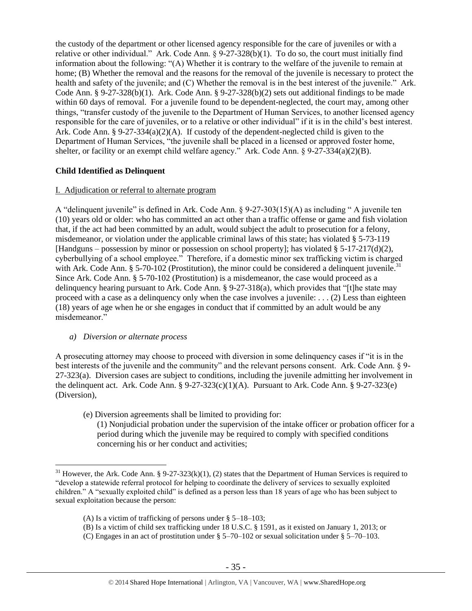the custody of the department or other licensed agency responsible for the care of juveniles or with a relative or other individual." Ark. Code Ann.  $\S 9-27-328(b)(1)$ . To do so, the court must initially find information about the following: "(A) Whether it is contrary to the welfare of the juvenile to remain at home; (B) Whether the removal and the reasons for the removal of the juvenile is necessary to protect the health and safety of the juvenile; and (C) Whether the removal is in the best interest of the juvenile." Ark. Code Ann.  $\S 9-27-328(b)(1)$ . Ark. Code Ann.  $\S 9-27-328(b)(2)$  sets out additional findings to be made within 60 days of removal. For a juvenile found to be dependent-neglected, the court may, among other things, "transfer custody of the juvenile to the Department of Human Services, to another licensed agency responsible for the care of juveniles, or to a relative or other individual" if it is in the child's best interest. Ark. Code Ann. § 9-27-334(a)(2)(A). If custody of the dependent-neglected child is given to the Department of Human Services, "the juvenile shall be placed in a licensed or approved foster home, shelter, or facility or an exempt child welfare agency." Ark. Code Ann. § 9-27-334(a)(2)(B).

# **Child Identified as Delinquent**

# I. Adjudication or referral to alternate program

A "delinquent juvenile" is defined in Ark. Code Ann. § 9-27-303(15)(A) as including " A juvenile ten (10) years old or older: who has committed an act other than a traffic offense or game and fish violation that, if the act had been committed by an adult, would subject the adult to prosecution for a felony, misdemeanor, or violation under the applicable criminal laws of this state; has violated § 5-73-119 [Handguns – possession by minor or possession on school property]; has violated § 5-17-217(d)(2), cyberbullying of a school employee." Therefore, if a domestic minor sex trafficking victim is charged with Ark. Code Ann. § 5-70-102 (Prostitution), the minor could be considered a delinquent juvenile.<sup>31</sup> Since Ark. Code Ann. § 5-70-102 (Prostitution) is a misdemeanor, the case would proceed as a delinquency hearing pursuant to Ark. Code Ann. § 9-27-318(a), which provides that "[t]he state may proceed with a case as a delinquency only when the case involves a juvenile: . . . (2) Less than eighteen (18) years of age when he or she engages in conduct that if committed by an adult would be any misdemeanor."

# *a) Diversion or alternate process*

A prosecuting attorney may choose to proceed with diversion in some delinquency cases if "it is in the best interests of the juvenile and the community" and the relevant persons consent. Ark. Code Ann. § 9- 27-323(a). Diversion cases are subject to conditions, including the juvenile admitting her involvement in the delinquent act. Ark. Code Ann.  $\S 9-27-323(c)(1)(A)$ . Pursuant to Ark. Code Ann.  $\S 9-27-323(e)$ (Diversion),

- (e) Diversion agreements shall be limited to providing for:
	- (1) Nonjudicial probation under the supervision of the intake officer or probation officer for a period during which the juvenile may be required to comply with specified conditions concerning his or her conduct and activities;

 $\overline{a}$ <sup>31</sup> However, the Ark. Code Ann. § 9-27-323(k)(1), (2) states that the Department of Human Services is required to "develop a statewide referral protocol for helping to coordinate the delivery of services to sexually exploited children." A "sexually exploited child" is defined as a person less than 18 years of age who has been subject to sexual exploitation because the person:

<sup>(</sup>A) Is a victim of trafficking of persons under § 5–18–103;

<sup>(</sup>B) Is a victim of child sex trafficking under 18 U.S.C. § 1591, as it existed on January 1, 2013; or

<sup>(</sup>C) Engages in an act of prostitution under § 5–70–102 or sexual solicitation under § 5–70–103.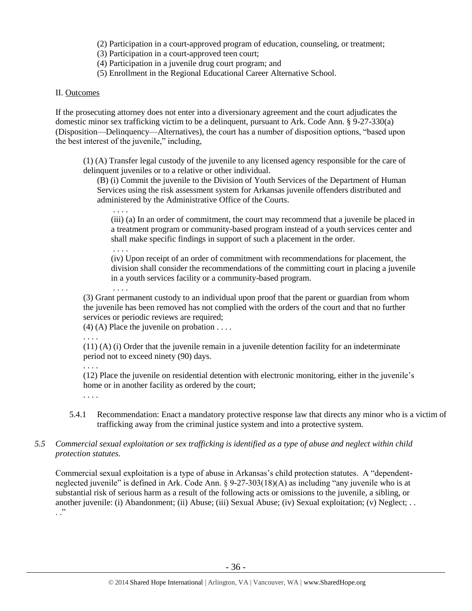- (2) Participation in a court-approved program of education, counseling, or treatment;
- (3) Participation in a court-approved teen court;
- (4) Participation in a juvenile drug court program; and
- (5) Enrollment in the Regional Educational Career Alternative School.

## II. Outcomes

If the prosecuting attorney does not enter into a diversionary agreement and the court adjudicates the domestic minor sex trafficking victim to be a delinquent, pursuant to Ark. Code Ann. § 9-27-330(a) (Disposition—Delinquency—Alternatives), the court has a number of disposition options, "based upon the best interest of the juvenile," including,

(1) (A) Transfer legal custody of the juvenile to any licensed agency responsible for the care of delinquent juveniles or to a relative or other individual.

(B) (i) Commit the juvenile to the Division of Youth Services of the Department of Human Services using the risk assessment system for Arkansas juvenile offenders distributed and administered by the Administrative Office of the Courts.

(iii) (a) In an order of commitment, the court may recommend that a juvenile be placed in a treatment program or community-based program instead of a youth services center and shall make specific findings in support of such a placement in the order.

(iv) Upon receipt of an order of commitment with recommendations for placement, the division shall consider the recommendations of the committing court in placing a juvenile in a youth services facility or a community-based program.

(3) Grant permanent custody to an individual upon proof that the parent or guardian from whom the juvenile has been removed has not complied with the orders of the court and that no further services or periodic reviews are required;

 $(4)$  (A) Place the juvenile on probation . . . .

. . . .

. . . .

. . . .

. . . .

 $(11)$  (A) (i) Order that the juvenile remain in a juvenile detention facility for an indeterminate period not to exceed ninety (90) days.

. . . .

(12) Place the juvenile on residential detention with electronic monitoring, either in the juvenile's home or in another facility as ordered by the court;

. . . .

- 5.4.1 Recommendation: Enact a mandatory protective response law that directs any minor who is a victim of trafficking away from the criminal justice system and into a protective system.
- *5.5 Commercial sexual exploitation or sex trafficking is identified as a type of abuse and neglect within child protection statutes.*

Commercial sexual exploitation is a type of abuse in Arkansas's child protection statutes. A "dependentneglected juvenile" is defined in Ark. Code Ann. § 9-27-303(18)(A) as including "any juvenile who is at substantial risk of serious harm as a result of the following acts or omissions to the juvenile, a sibling, or another juvenile: (i) Abandonment; (ii) Abuse; (iii) Sexual Abuse; (iv) Sexual exploitation; (v) Neglect; . .  $\cdot$  .  $\cdot$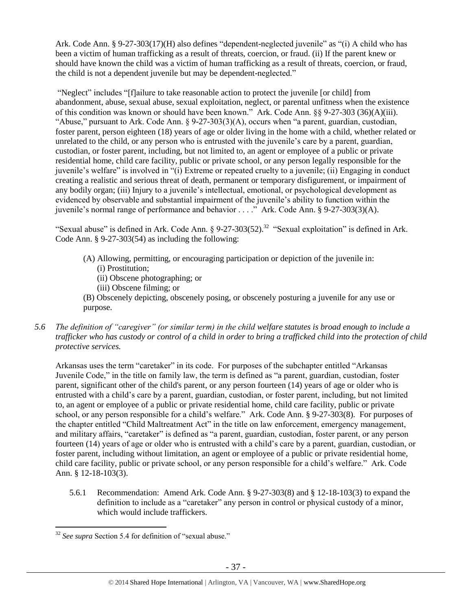Ark. Code Ann. § 9-27-303(17)(H) also defines "dependent-neglected juvenile" as "(i) A child who has been a victim of human trafficking as a result of threats, coercion, or fraud. (ii) If the parent knew or should have known the child was a victim of human trafficking as a result of threats, coercion, or fraud, the child is not a dependent juvenile but may be dependent-neglected."

"Neglect" includes "[f]ailure to take reasonable action to protect the juvenile [or child] from abandonment, abuse, sexual abuse, sexual exploitation, neglect, or parental unfitness when the existence of this condition was known or should have been known." Ark. Code Ann. §§ 9-27-303 (36)(A)(iii). "Abuse," pursuant to Ark. Code Ann. § 9-27-303(3)(A), occurs when "a parent, guardian, custodian, foster parent, person eighteen (18) years of age or older living in the home with a child, whether related or unrelated to the child, or any person who is entrusted with the juvenile's care by a parent, guardian, custodian, or foster parent, including, but not limited to, an agent or employee of a public or private residential home, child care facility, public or private school, or any person legally responsible for the juvenile's welfare" is involved in "(i) Extreme or repeated cruelty to a juvenile; (ii) Engaging in conduct creating a realistic and serious threat of death, permanent or temporary disfigurement, or impairment of any bodily organ; (iii) Injury to a juvenile's intellectual, emotional, or psychological development as evidenced by observable and substantial impairment of the juvenile's ability to function within the juvenile's normal range of performance and behavior . . . ." Ark. Code Ann. § 9-27-303(3)(A).

"Sexual abuse" is defined in Ark. Code Ann. § 9-27-303(52).<sup>32</sup> "Sexual exploitation" is defined in Ark. Code Ann. § 9-27-303(54) as including the following:

- (A) Allowing, permitting, or encouraging participation or depiction of the juvenile in: (i) Prostitution;
	- (ii) Obscene photographing; or
	- (iii) Obscene filming; or
- (B) Obscenely depicting, obscenely posing, or obscenely posturing a juvenile for any use or purpose.
- *5.6 The definition of "caregiver" (or similar term) in the child welfare statutes is broad enough to include a trafficker who has custody or control of a child in order to bring a trafficked child into the protection of child protective services.*

Arkansas uses the term "caretaker" in its code. For purposes of the subchapter entitled "Arkansas Juvenile Code," in the title on family law, the term is defined as "a parent, guardian, custodian, foster parent, significant other of the child's parent, or any person fourteen (14) years of age or older who is entrusted with a child's care by a parent, guardian, custodian, or foster parent, including, but not limited to, an agent or employee of a public or private residential home, child care facility, public or private school, or any person responsible for a child's welfare." Ark. Code Ann. § 9-27-303(8). For purposes of the chapter entitled "Child Maltreatment Act" in the title on law enforcement, emergency management, and military affairs, "caretaker" is defined as "a parent, guardian, custodian, foster parent, or any person fourteen (14) years of age or older who is entrusted with a child's care by a parent, guardian, custodian, or foster parent, including without limitation, an agent or employee of a public or private residential home, child care facility, public or private school, or any person responsible for a child's welfare." Ark. Code Ann. § 12-18-103(3).

5.6.1 Recommendation: Amend Ark. Code Ann. § 9-27-303(8) and § 12-18-103(3) to expand the definition to include as a "caretaker" any person in control or physical custody of a minor, which would include traffickers.

 $\overline{a}$ <sup>32</sup> *See supra* Section 5.4 for definition of "sexual abuse."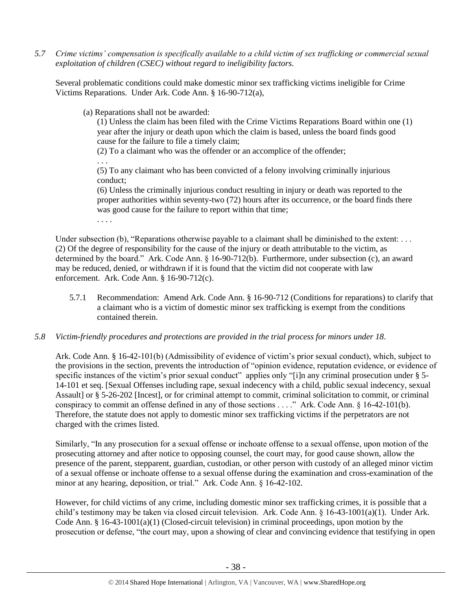*5.7 Crime victims' compensation is specifically available to a child victim of sex trafficking or commercial sexual exploitation of children (CSEC) without regard to ineligibility factors.*

Several problematic conditions could make domestic minor sex trafficking victims ineligible for Crime Victims Reparations. Under Ark. Code Ann. § 16-90-712(a),

(a) Reparations shall not be awarded:

(1) Unless the claim has been filed with the Crime Victims Reparations Board within one (1) year after the injury or death upon which the claim is based, unless the board finds good cause for the failure to file a timely claim;

(2) To a claimant who was the offender or an accomplice of the offender;

. . . (5) To any claimant who has been convicted of a felony involving criminally injurious conduct;

(6) Unless the criminally injurious conduct resulting in injury or death was reported to the proper authorities within seventy-two (72) hours after its occurrence, or the board finds there was good cause for the failure to report within that time:

. . . .

Under subsection (b), "Reparations otherwise payable to a claimant shall be diminished to the extent: ... (2) Of the degree of responsibility for the cause of the injury or death attributable to the victim, as determined by the board." Ark. Code Ann. § 16-90-712(b). Furthermore, under subsection (c), an award may be reduced, denied, or withdrawn if it is found that the victim did not cooperate with law enforcement. Ark. Code Ann. § 16-90-712(c).

- 5.7.1 Recommendation: Amend Ark. Code Ann. § 16-90-712 (Conditions for reparations) to clarify that a claimant who is a victim of domestic minor sex trafficking is exempt from the conditions contained therein.
- *5.8 Victim-friendly procedures and protections are provided in the trial process for minors under 18.*

Ark. Code Ann. § 16-42-101(b) (Admissibility of evidence of victim's prior sexual conduct), which, subject to the provisions in the section, prevents the introduction of "opinion evidence, reputation evidence, or evidence of specific instances of the victim's prior sexual conduct" applies only "[i]n any criminal prosecution under § 5-14-101 et seq. [Sexual Offenses including rape, sexual indecency with a child, public sexual indecency, sexual Assault] or § 5-26-202 [Incest], or for criminal attempt to commit, criminal solicitation to commit, or criminal conspiracy to commit an offense defined in any of those sections . . . ." Ark. Code Ann. § 16-42-101(b). Therefore, the statute does not apply to domestic minor sex trafficking victims if the perpetrators are not charged with the crimes listed.

Similarly, "In any prosecution for a sexual offense or inchoate offense to a sexual offense, upon motion of the prosecuting attorney and after notice to opposing counsel, the court may, for good cause shown, allow the presence of the parent, stepparent, guardian, custodian, or other person with custody of an alleged minor victim of a sexual offense or inchoate offense to a sexual offense during the examination and cross-examination of the minor at any hearing, deposition, or trial." Ark. Code Ann. § 16-42-102.

However, for child victims of any crime, including domestic minor sex trafficking crimes, it is possible that a child's testimony may be taken via closed circuit television. Ark. Code Ann. § 16-43-1001(a)(1). Under Ark. Code Ann. § 16-43-1001(a)(1) (Closed-circuit television) in criminal proceedings, upon motion by the prosecution or defense, "the court may, upon a showing of clear and convincing evidence that testifying in open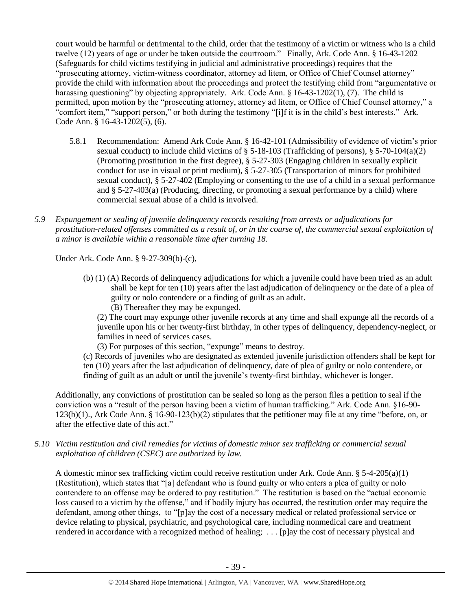court would be harmful or detrimental to the child, order that the testimony of a victim or witness who is a child twelve (12) years of age or under be taken outside the courtroom." Finally, Ark. Code Ann. § 16-43-1202 (Safeguards for child victims testifying in judicial and administrative proceedings) requires that the "prosecuting attorney, victim-witness coordinator, attorney ad litem, or Office of Chief Counsel attorney" provide the child with information about the proceedings and protect the testifying child from "argumentative or harassing questioning" by objecting appropriately. Ark. Code Ann. § 16-43-1202(1), (7). The child is permitted, upon motion by the "prosecuting attorney, attorney ad litem, or Office of Chief Counsel attorney," a "comfort item," "support person," or both during the testimony "[i]f it is in the child's best interests." Ark. Code Ann. § 16-43-1202(5), (6).

- 5.8.1 Recommendation: Amend Ark Code Ann. § 16-42-101 (Admissibility of evidence of victim's prior sexual conduct) to include child victims of  $\S$  5-18-103 (Trafficking of persons),  $\S$  5-70-104(a)(2) (Promoting prostitution in the first degree), § 5-27-303 (Engaging children in sexually explicit conduct for use in visual or print medium), § 5-27-305 (Transportation of minors for prohibited sexual conduct), § 5-27-402 (Employing or consenting to the use of a child in a sexual performance and § 5-27-403(a) (Producing, directing, or promoting a sexual performance by a child) where commercial sexual abuse of a child is involved.
- *5.9 Expungement or sealing of juvenile delinquency records resulting from arrests or adjudications for prostitution-related offenses committed as a result of, or in the course of, the commercial sexual exploitation of a minor is available within a reasonable time after turning 18.*

Under Ark. Code Ann. § 9-27-309(b)-(c),

- (b) (1) (A) Records of delinquency adjudications for which a juvenile could have been tried as an adult shall be kept for ten (10) years after the last adjudication of delinquency or the date of a plea of guilty or nolo contendere or a finding of guilt as an adult.
	- (B) Thereafter they may be expunged.

(2) The court may expunge other juvenile records at any time and shall expunge all the records of a juvenile upon his or her twenty-first birthday, in other types of delinquency, dependency-neglect, or families in need of services cases.

(3) For purposes of this section, "expunge" means to destroy.

(c) Records of juveniles who are designated as extended juvenile jurisdiction offenders shall be kept for ten (10) years after the last adjudication of delinquency, date of plea of guilty or nolo contendere, or finding of guilt as an adult or until the juvenile's twenty-first birthday, whichever is longer.

Additionally, any convictions of prostitution can be sealed so long as the person files a petition to seal if the conviction was a "result of the person having been a victim of human trafficking." Ark. Code Ann. §16-90- 123(b)(1)., Ark Code Ann. § 16-90-123(b)(2) stipulates that the petitioner may file at any time "before, on, or after the effective date of this act."

*5.10 Victim restitution and civil remedies for victims of domestic minor sex trafficking or commercial sexual exploitation of children (CSEC) are authorized by law.* 

A domestic minor sex trafficking victim could receive restitution under Ark. Code Ann. §  $5-4-205(a)(1)$ (Restitution), which states that "[a] defendant who is found guilty or who enters a plea of guilty or nolo contendere to an offense may be ordered to pay restitution." The restitution is based on the "actual economic loss caused to a victim by the offense," and if bodily injury has occurred, the restitution order may require the defendant, among other things, to "[p]ay the cost of a necessary medical or related professional service or device relating to physical, psychiatric, and psychological care, including nonmedical care and treatment rendered in accordance with a recognized method of healing; . . . [p]ay the cost of necessary physical and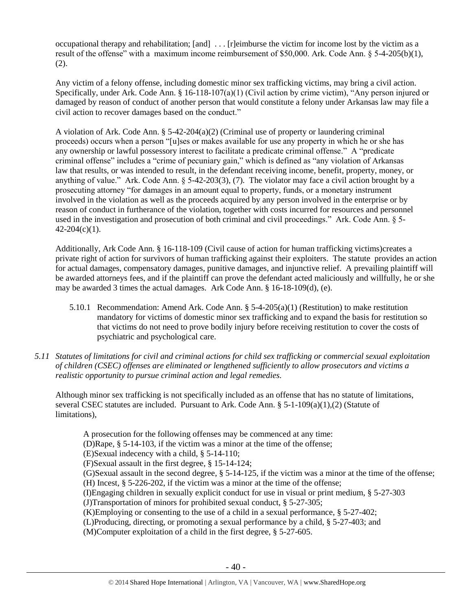occupational therapy and rehabilitation; [and] . . . [r]eimburse the victim for income lost by the victim as a result of the offense" with a maximum income reimbursement of \$50,000. Ark. Code Ann. § 5-4-205(b)(1), (2).

Any victim of a felony offense, including domestic minor sex trafficking victims, may bring a civil action. Specifically, under Ark. Code Ann. § 16-118-107(a)(1) (Civil action by crime victim), "Any person injured or damaged by reason of conduct of another person that would constitute a felony under Arkansas law may file a civil action to recover damages based on the conduct."

A violation of Ark. Code Ann. § 5-42-204(a)(2) (Criminal use of property or laundering criminal proceeds) occurs when a person "[u]ses or makes available for use any property in which he or she has any ownership or lawful possessory interest to facilitate a predicate criminal offense." A "predicate criminal offense" includes a "crime of pecuniary gain," which is defined as "any violation of Arkansas law that results, or was intended to result, in the defendant receiving income, benefit, property, money, or anything of value." Ark. Code Ann.  $\S$  5-42-203(3), (7). The violator may face a civil action brought by a prosecuting attorney "for damages in an amount equal to property, funds, or a monetary instrument involved in the violation as well as the proceeds acquired by any person involved in the enterprise or by reason of conduct in furtherance of the violation, together with costs incurred for resources and personnel used in the investigation and prosecution of both criminal and civil proceedings." Ark. Code Ann. § 5-  $42 - 204(c)(1)$ .

Additionally, Ark Code Ann. § 16-118-109 (Civil cause of action for human trafficking victims)creates a private right of action for survivors of human trafficking against their exploiters. The statute provides an action for actual damages, compensatory damages, punitive damages, and injunctive relief. A prevailing plaintiff will be awarded attorneys fees, and if the plaintiff can prove the defendant acted maliciously and willfully, he or she may be awarded 3 times the actual damages. Ark Code Ann. § 16-18-109(d), (e).

- 5.10.1 Recommendation: Amend Ark. Code Ann.  $\S$  5-4-205(a)(1) (Restitution) to make restitution mandatory for victims of domestic minor sex trafficking and to expand the basis for restitution so that victims do not need to prove bodily injury before receiving restitution to cover the costs of psychiatric and psychological care.
- *5.11 Statutes of limitations for civil and criminal actions for child sex trafficking or commercial sexual exploitation of children (CSEC) offenses are eliminated or lengthened sufficiently to allow prosecutors and victims a realistic opportunity to pursue criminal action and legal remedies.*

Although minor sex trafficking is not specifically included as an offense that has no statute of limitations, several CSEC statutes are included. Pursuant to Ark. Code Ann.  $\S$  5-1-109(a)(1),(2) (Statute of limitations),

A prosecution for the following offenses may be commenced at any time: (D)Rape, § 5-14-103, if the victim was a minor at the time of the offense; (E)Sexual indecency with a child, § 5-14-110; (F)Sexual assault in the first degree, § 15-14-124; (G)Sexual assault in the second degree, § 5-14-125, if the victim was a minor at the time of the offense; (H) Incest, § 5-226-202, if the victim was a minor at the time of the offense; (I)Engaging children in sexually explicit conduct for use in visual or print medium, § 5-27-303 (J)Transportation of minors for prohibited sexual conduct, § 5-27-305; (K)Employing or consenting to the use of a child in a sexual performance, § 5-27-402; (L)Producing, directing, or promoting a sexual performance by a child, § 5-27-403; and (M)Computer exploitation of a child in the first degree, § 5-27-605.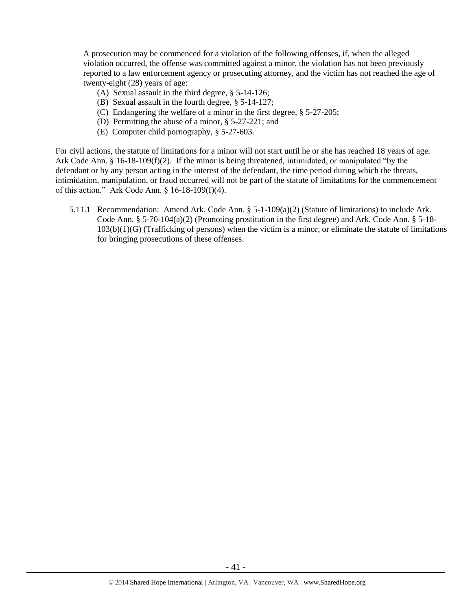A prosecution may be commenced for a violation of the following offenses, if, when the alleged violation occurred, the offense was committed against a minor, the violation has not been previously reported to a law enforcement agency or prosecuting attorney, and the victim has not reached the age of twenty-eight (28) years of age:

- (A) Sexual assault in the third degree, § 5-14-126;
- (B) Sexual assault in the fourth degree, § 5-14-127;
- (C) Endangering the welfare of a minor in the first degree, § 5-27-205;
- (D) Permitting the abuse of a minor, § 5-27-221; and
- (E) Computer child pornography, § 5-27-603.

For civil actions, the statute of limitations for a minor will not start until he or she has reached 18 years of age. Ark Code Ann. § 16-18-109(f)(2). If the minor is being threatened, intimidated, or manipulated "by the defendant or by any person acting in the interest of the defendant, the time period during which the threats, intimidation, manipulation, or fraud occurred will not be part of the statute of limitations for the commencement of this action." Ark Code Ann. § 16-18-109(f)(4).

5.11.1 Recommendation: Amend Ark. Code Ann. § 5-1-109(a)(2) (Statute of limitations) to include Ark. Code Ann. § 5-70-104(a)(2) (Promoting prostitution in the first degree) and Ark. Code Ann. § 5-18- $103(b)(1)(G)$  (Trafficking of persons) when the victim is a minor, or eliminate the statute of limitations for bringing prosecutions of these offenses.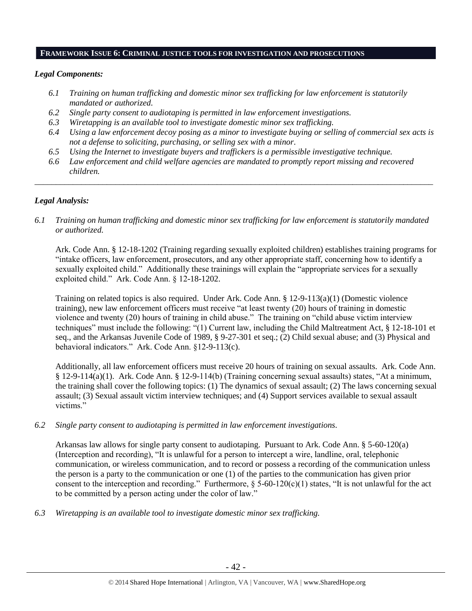#### **FRAMEWORK ISSUE 6: CRIMINAL JUSTICE TOOLS FOR INVESTIGATION AND PROSECUTIONS**

## *Legal Components:*

- *6.1 Training on human trafficking and domestic minor sex trafficking for law enforcement is statutorily mandated or authorized.*
- *6.2 Single party consent to audiotaping is permitted in law enforcement investigations.*
- *6.3 Wiretapping is an available tool to investigate domestic minor sex trafficking.*
- *6.4 Using a law enforcement decoy posing as a minor to investigate buying or selling of commercial sex acts is not a defense to soliciting, purchasing, or selling sex with a minor.*
- *6.5 Using the Internet to investigate buyers and traffickers is a permissible investigative technique.*
- *6.6 Law enforcement and child welfare agencies are mandated to promptly report missing and recovered children.*

*\_\_\_\_\_\_\_\_\_\_\_\_\_\_\_\_\_\_\_\_\_\_\_\_\_\_\_\_\_\_\_\_\_\_\_\_\_\_\_\_\_\_\_\_\_\_\_\_\_\_\_\_\_\_\_\_\_\_\_\_\_\_\_\_\_\_\_\_\_\_\_\_\_\_\_\_\_\_\_\_\_\_\_\_\_\_\_\_\_\_\_\_\_\_*

## *Legal Analysis:*

# *6.1 Training on human trafficking and domestic minor sex trafficking for law enforcement is statutorily mandated or authorized.*

Ark. Code Ann. § 12-18-1202 (Training regarding sexually exploited children) establishes training programs for "intake officers, law enforcement, prosecutors, and any other appropriate staff, concerning how to identify a sexually exploited child." Additionally these trainings will explain the "appropriate services for a sexually exploited child." Ark. Code Ann. § 12-18-1202.

Training on related topics is also required. Under Ark. Code Ann. § 12-9-113(a)(1) (Domestic violence training), new law enforcement officers must receive "at least twenty (20) hours of training in domestic violence and twenty (20) hours of training in child abuse." The training on "child abuse victim interview techniques" must include the following: "(1) Current law, including the Child Maltreatment Act, § 12-18-101 et seq., and the Arkansas Juvenile Code of 1989, § 9-27-301 et seq.; (2) Child sexual abuse; and (3) Physical and behavioral indicators." Ark. Code Ann. §12-9-113(c).

Additionally, all law enforcement officers must receive 20 hours of training on sexual assaults. Ark. Code Ann. § 12-9-114(a)(1). Ark. Code Ann. § 12-9-114(b) (Training concerning sexual assaults) states, "At a minimum, the training shall cover the following topics: (1) The dynamics of sexual assault; (2) The laws concerning sexual assault; (3) Sexual assault victim interview techniques; and (4) Support services available to sexual assault victims."

#### *6.2 Single party consent to audiotaping is permitted in law enforcement investigations.*

Arkansas law allows for single party consent to audiotaping. Pursuant to Ark. Code Ann. § 5-60-120(a) (Interception and recording), "It is unlawful for a person to intercept a wire, landline, oral, telephonic communication, or wireless communication, and to record or possess a recording of the communication unless the person is a party to the communication or one (1) of the parties to the communication has given prior consent to the interception and recording." Furthermore,  $\S$  5-60-120(c)(1) states, "It is not unlawful for the act to be committed by a person acting under the color of law."

*6.3 Wiretapping is an available tool to investigate domestic minor sex trafficking.*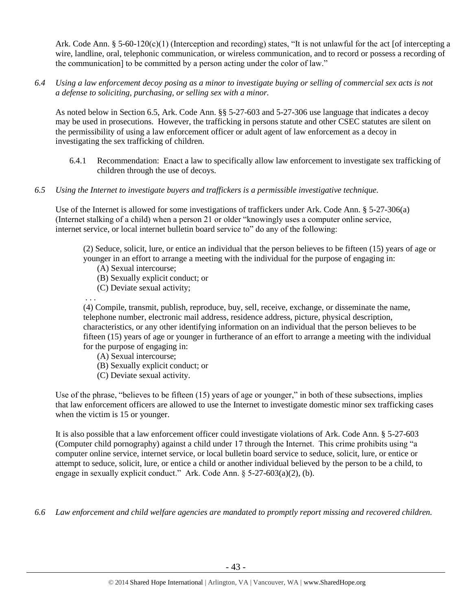Ark. Code Ann. § 5-60-120(c)(1) (Interception and recording) states, "It is not unlawful for the act [of intercepting a wire, landline, oral, telephonic communication, or wireless communication, and to record or possess a recording of the communication] to be committed by a person acting under the color of law."

*6.4 Using a law enforcement decoy posing as a minor to investigate buying or selling of commercial sex acts is not a defense to soliciting, purchasing, or selling sex with a minor.*

As noted below in Section 6.5, Ark. Code Ann. §§ 5-27-603 and 5-27-306 use language that indicates a decoy may be used in prosecutions. However, the trafficking in persons statute and other CSEC statutes are silent on the permissibility of using a law enforcement officer or adult agent of law enforcement as a decoy in investigating the sex trafficking of children.

- 6.4.1 Recommendation: Enact a law to specifically allow law enforcement to investigate sex trafficking of children through the use of decoys.
- *6.5 Using the Internet to investigate buyers and traffickers is a permissible investigative technique.*

Use of the Internet is allowed for some investigations of traffickers under Ark. Code Ann. § 5-27-306(a) (Internet stalking of a child) when a person 21 or older "knowingly uses a computer online service, internet service, or local internet bulletin board service to" do any of the following:

(2) Seduce, solicit, lure, or entice an individual that the person believes to be fifteen (15) years of age or younger in an effort to arrange a meeting with the individual for the purpose of engaging in:

- (A) Sexual intercourse;
- (B) Sexually explicit conduct; or
- (C) Deviate sexual activity;

. . .

(4) Compile, transmit, publish, reproduce, buy, sell, receive, exchange, or disseminate the name, telephone number, electronic mail address, residence address, picture, physical description, characteristics, or any other identifying information on an individual that the person believes to be fifteen (15) years of age or younger in furtherance of an effort to arrange a meeting with the individual for the purpose of engaging in:

- (A) Sexual intercourse;
- (B) Sexually explicit conduct; or
- (C) Deviate sexual activity.

Use of the phrase, "believes to be fifteen (15) years of age or younger," in both of these subsections, implies that law enforcement officers are allowed to use the Internet to investigate domestic minor sex trafficking cases when the victim is 15 or younger.

It is also possible that a law enforcement officer could investigate violations of Ark. Code Ann. § 5-27-603 (Computer child pornography) against a child under 17 through the Internet. This crime prohibits using "a computer online service, internet service, or local bulletin board service to seduce, solicit, lure, or entice or attempt to seduce, solicit, lure, or entice a child or another individual believed by the person to be a child, to engage in sexually explicit conduct." Ark. Code Ann. § 5-27-603(a)(2), (b).

*6.6 Law enforcement and child welfare agencies are mandated to promptly report missing and recovered children.*